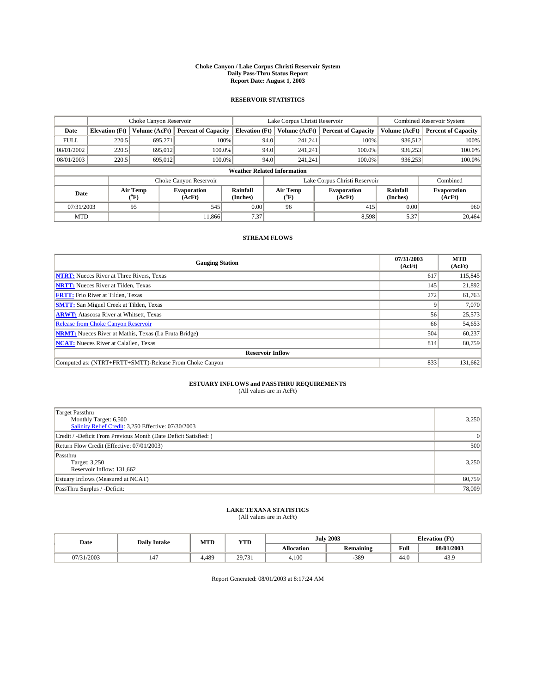#### **Choke Canyon / Lake Corpus Christi Reservoir System Daily Pass-Thru Status Report Report Date: August 1, 2003**

### **RESERVOIR STATISTICS**

|             | Choke Canyon Reservoir             |                  | Lake Corpus Christi Reservoir |                             |      |                  | <b>Combined Reservoir System</b> |                             |                              |  |
|-------------|------------------------------------|------------------|-------------------------------|-----------------------------|------|------------------|----------------------------------|-----------------------------|------------------------------|--|
| Date        | <b>Elevation</b> (Ft)              | Volume (AcFt)    | <b>Percent of Capacity</b>    | <b>Elevation</b> (Ft)       |      | Volume (AcFt)    | <b>Percent of Capacity</b>       | Volume (AcFt)               | <b>Percent of Capacity</b>   |  |
| <b>FULL</b> | 220.5                              | 695,271          |                               | 100%                        | 94.0 | 241,241          | 100%                             | 936.512                     | 100%                         |  |
| 08/01/2002  | 220.5                              | 695,012          | $100.0\%$                     |                             | 94.0 | 241.241          | $100.0\%$                        | 936,253                     | 100.0%                       |  |
| 08/01/2003  | 220.5                              | 695,012          | 100.0%                        |                             | 94.0 | 241.241          | $100.0\%$                        | 936,253                     | 100.0%                       |  |
|             | <b>Weather Related Information</b> |                  |                               |                             |      |                  |                                  |                             |                              |  |
|             |                                    |                  | Choke Canyon Reservoir        |                             |      |                  | Lake Corpus Christi Reservoir    |                             | Combined                     |  |
| Date        |                                    | Air Temp<br>(°F) | <b>Evaporation</b><br>(AcFt)  | <b>Rainfall</b><br>(Inches) |      | Air Temp<br>("F) | <b>Evaporation</b><br>(AcFt)     | <b>Rainfall</b><br>(Inches) | <b>Evaporation</b><br>(AcFt) |  |
| 07/31/2003  |                                    | 95               | 545                           | 0.00                        |      | 96               | 415                              | 0.00                        | 960                          |  |
| <b>MTD</b>  |                                    |                  | 11,866                        | 7.37                        |      |                  | 8,598                            | 5.37                        | 20.464                       |  |

### **STREAM FLOWS**

| <b>Gauging Station</b>                                       | 07/31/2003<br>(AcFt) | <b>MTD</b><br>(AcFt) |  |  |  |  |  |
|--------------------------------------------------------------|----------------------|----------------------|--|--|--|--|--|
| <b>NTRT:</b> Nueces River at Three Rivers, Texas             | 617                  | 115,845              |  |  |  |  |  |
| <b>NRTT:</b> Nueces River at Tilden, Texas                   | 145                  | 21,892               |  |  |  |  |  |
| <b>FRTT:</b> Frio River at Tilden, Texas                     | 272                  | 61,763               |  |  |  |  |  |
| <b>SMTT:</b> San Miguel Creek at Tilden, Texas               |                      | 7,070                |  |  |  |  |  |
| <b>ARWT:</b> Atascosa River at Whitsett, Texas               | 56                   | 25,573               |  |  |  |  |  |
| <b>Release from Choke Canyon Reservoir</b>                   | 66                   | 54,653               |  |  |  |  |  |
| <b>NRMT:</b> Nueces River at Mathis, Texas (La Fruta Bridge) | 504                  | 60,237               |  |  |  |  |  |
| <b>NCAT:</b> Nueces River at Calallen, Texas                 | 814                  | 80,759               |  |  |  |  |  |
| <b>Reservoir Inflow</b>                                      |                      |                      |  |  |  |  |  |
| Computed as: (NTRT+FRTT+SMTT)-Release From Choke Canyon      | 833                  | 131,662              |  |  |  |  |  |

# **ESTUARY INFLOWS and PASSTHRU REQUIREMENTS**<br>(All values are in AcFt)

| Target Passthru<br>Monthly Target: 6,500<br>Salinity Relief Credit: 3,250 Effective: 07/30/2003 | 3,250    |
|-------------------------------------------------------------------------------------------------|----------|
| Credit / -Deficit From Previous Month (Date Deficit Satisfied: )                                | $\Omega$ |
| Return Flow Credit (Effective: 07/01/2003)                                                      | 500      |
| Passthru<br>Target: 3,250<br>Reservoir Inflow: 131,662                                          | 3,250    |
| Estuary Inflows (Measured at NCAT)                                                              | 80,759   |
| PassThru Surplus / -Deficit:                                                                    | 78,009   |

# **LAKE TEXANA STATISTICS** (All values are in AcFt)

| Date    | <b>Daily Intake</b> | MTD   | <b>VTT</b><br>1 I D |                   | <b>July 2003</b> | <b>Elevation</b> (Ft) |            |
|---------|---------------------|-------|---------------------|-------------------|------------------|-----------------------|------------|
|         |                     |       |                     | <b>Allocation</b> | <b>Remaining</b> | Full                  | 08/01/2003 |
| 31/2003 | 147                 | 4.489 | 29,731              | 4,100             | -389             | $\sim$<br>44.V        | 43.9       |

Report Generated: 08/01/2003 at 8:17:24 AM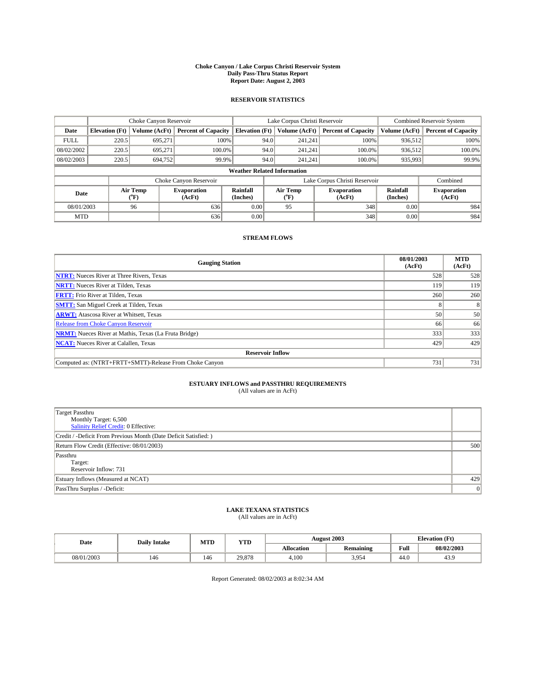#### **Choke Canyon / Lake Corpus Christi Reservoir System Daily Pass-Thru Status Report Report Date: August 2, 2003**

### **RESERVOIR STATISTICS**

|                                    | Choke Canyon Reservoir |                  | Lake Corpus Christi Reservoir |                       |      |                           | <b>Combined Reservoir System</b> |                      |                              |
|------------------------------------|------------------------|------------------|-------------------------------|-----------------------|------|---------------------------|----------------------------------|----------------------|------------------------------|
| Date                               | <b>Elevation</b> (Ft)  | Volume (AcFt)    | <b>Percent of Capacity</b>    | <b>Elevation (Ft)</b> |      | Volume (AcFt)             | <b>Percent of Capacity</b>       | Volume (AcFt)        | <b>Percent of Capacity</b>   |
| <b>FULL</b>                        | 220.5                  | 695,271          | 100%                          |                       | 94.0 | 241,241                   | 100%                             | 936.512              | 100%                         |
| 08/02/2002                         | 220.5                  | 695.271          | $100.0\%$                     |                       | 94.0 | 241.241                   | 100.0%                           | 936.512              | 100.0%                       |
| 08/02/2003                         | 220.5                  | 694.752          | 99.9%                         |                       | 94.0 | 241.241                   | $100.0\%$                        | 935,993              | 99.9%                        |
| <b>Weather Related Information</b> |                        |                  |                               |                       |      |                           |                                  |                      |                              |
|                                    |                        |                  | Choke Canyon Reservoir        |                       |      |                           | Lake Corpus Christi Reservoir    |                      | Combined                     |
| Date                               |                        | Air Temp<br>(°F) | <b>Evaporation</b><br>(AcFt)  | Rainfall<br>(Inches)  |      | Air Temp<br>$^{\circ}$ F) | <b>Evaporation</b><br>(AcFt)     | Rainfall<br>(Inches) | <b>Evaporation</b><br>(AcFt) |
| 08/01/2003                         |                        | 96               | 636                           | 0.00                  |      | 95                        | 348                              | 0.00                 | 984                          |
| <b>MTD</b>                         |                        |                  | 636                           | 0.00                  |      |                           | 348                              | 0.00                 | 984                          |

### **STREAM FLOWS**

| <b>Gauging Station</b>                                       | 08/01/2003<br>(AcFt) | <b>MTD</b><br>(AcFt) |  |  |  |  |
|--------------------------------------------------------------|----------------------|----------------------|--|--|--|--|
| <b>NTRT:</b> Nueces River at Three Rivers, Texas             | 528                  | 528                  |  |  |  |  |
| <b>NRTT:</b> Nueces River at Tilden, Texas                   | 119                  | 119                  |  |  |  |  |
| <b>FRTT:</b> Frio River at Tilden, Texas                     | 260                  | 260                  |  |  |  |  |
| <b>SMTT:</b> San Miguel Creek at Tilden, Texas               |                      |                      |  |  |  |  |
| <b>ARWT:</b> Atascosa River at Whitsett, Texas               | 50                   | 50                   |  |  |  |  |
| <b>Release from Choke Canyon Reservoir</b>                   | 66                   | 66                   |  |  |  |  |
| <b>NRMT:</b> Nueces River at Mathis, Texas (La Fruta Bridge) | 333                  | 333                  |  |  |  |  |
| <b>NCAT:</b> Nueces River at Calallen, Texas                 | 429                  | 429                  |  |  |  |  |
| <b>Reservoir Inflow</b>                                      |                      |                      |  |  |  |  |
| Computed as: (NTRT+FRTT+SMTT)-Release From Choke Canyon      | 731                  | 731                  |  |  |  |  |

## **ESTUARY INFLOWS and PASSTHRU REQUIREMENTS**<br>(All values are in AcFt)

| <b>Target Passthru</b><br>Monthly Target: 6,500<br>Salinity Relief Credit: 0 Effective: |     |
|-----------------------------------------------------------------------------------------|-----|
| Credit / -Deficit From Previous Month (Date Deficit Satisfied: )                        |     |
| Return Flow Credit (Effective: 08/01/2003)                                              | 500 |
| Passthru<br>Target:<br>Reservoir Inflow: 731                                            |     |
| Estuary Inflows (Measured at NCAT)                                                      | 429 |
| PassThru Surplus / -Deficit:                                                            | 0   |

# **LAKE TEXANA STATISTICS** (All values are in AcFt)

| Date       | <b>Daily Intake</b> | MTD | <b>YTD</b> |                   | <b>August 2003</b> | <b>Elevation</b> (Ft) |                |
|------------|---------------------|-----|------------|-------------------|--------------------|-----------------------|----------------|
|            |                     |     |            | <b>Allocation</b> | <b>Remaining</b>   | Full                  | 08/02/2003     |
| 08/01/2003 | 146                 | 146 | 29.878     | 4,100             | 3,954              | $\sim$<br>44.V        | $\sim$<br>43.9 |

Report Generated: 08/02/2003 at 8:02:34 AM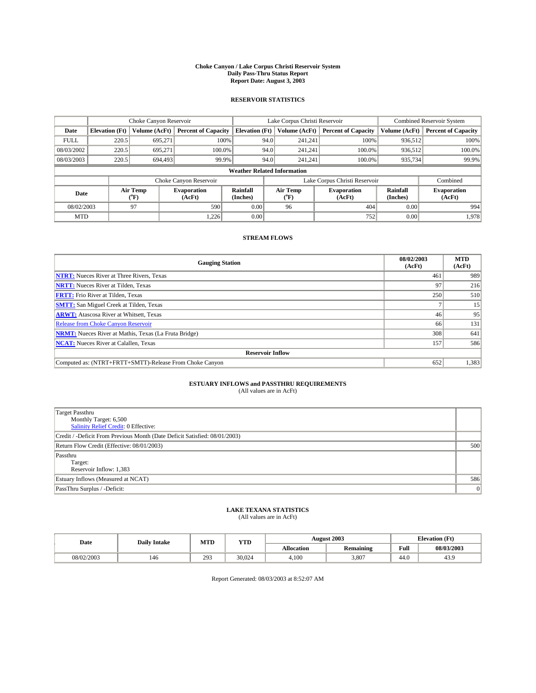#### **Choke Canyon / Lake Corpus Christi Reservoir System Daily Pass-Thru Status Report Report Date: August 3, 2003**

### **RESERVOIR STATISTICS**

|                                    | Choke Canyon Reservoir |                  | Lake Corpus Christi Reservoir |                             |      |                  | <b>Combined Reservoir System</b> |                      |                              |
|------------------------------------|------------------------|------------------|-------------------------------|-----------------------------|------|------------------|----------------------------------|----------------------|------------------------------|
| Date                               | <b>Elevation</b> (Ft)  | Volume (AcFt)    | <b>Percent of Capacity</b>    | <b>Elevation</b> (Ft)       |      | Volume (AcFt)    | <b>Percent of Capacity</b>       | Volume (AcFt)        | <b>Percent of Capacity</b>   |
| <b>FULL</b>                        | 220.5                  | 695,271          | 100%                          |                             | 94.0 | 241,241          | 100%                             | 936.512              | 100%                         |
| 08/03/2002                         | 220.5                  | 695.271          | $100.0\%$                     |                             | 94.0 | 241.241          | $100.0\%$                        | 936.512              | 100.0%                       |
| 08/03/2003                         | 220.5                  | 694,493          | 99.9%                         |                             | 94.0 | 241.241          | $100.0\%$                        | 935,734              | 99.9%                        |
| <b>Weather Related Information</b> |                        |                  |                               |                             |      |                  |                                  |                      |                              |
|                                    |                        |                  | Choke Canyon Reservoir        |                             |      |                  | Lake Corpus Christi Reservoir    |                      | Combined                     |
| Date                               |                        | Air Temp<br>(°F) | <b>Evaporation</b><br>(AcFt)  | <b>Rainfall</b><br>(Inches) |      | Air Temp<br>("F) | <b>Evaporation</b><br>(AcFt)     | Rainfall<br>(Inches) | <b>Evaporation</b><br>(AcFt) |
| 08/02/2003                         |                        | 97               | 590                           | 0.00                        |      | 96               | 404                              | 0.00                 | 994                          |
| <b>MTD</b>                         |                        |                  | 1,226                         | 0.00                        |      |                  | 752                              | 0.00                 | 1,978                        |

### **STREAM FLOWS**

| <b>Gauging Station</b>                                       | 08/02/2003<br>(AcFt) | <b>MTD</b><br>(AcFt) |
|--------------------------------------------------------------|----------------------|----------------------|
| <b>NTRT:</b> Nueces River at Three Rivers, Texas             | 461                  | 989                  |
| <b>NRTT:</b> Nueces River at Tilden, Texas                   | 97                   | 216                  |
| <b>FRTT:</b> Frio River at Tilden, Texas                     | 250                  | 510                  |
| <b>SMTT:</b> San Miguel Creek at Tilden, Texas               |                      | 15                   |
| <b>ARWT:</b> Atascosa River at Whitsett, Texas               | 46                   | 95                   |
| <b>Release from Choke Canyon Reservoir</b>                   | 66                   | 131                  |
| <b>NRMT:</b> Nueces River at Mathis, Texas (La Fruta Bridge) | 308                  | 641                  |
| <b>NCAT:</b> Nueces River at Calallen, Texas                 | 157                  | 586                  |
| <b>Reservoir Inflow</b>                                      |                      |                      |
| Computed as: (NTRT+FRTT+SMTT)-Release From Choke Canyon      | 652                  | 1,383                |

# **ESTUARY INFLOWS and PASSTHRU REQUIREMENTS**<br>(All values are in AcFt)

| <b>Target Passthru</b><br>Monthly Target: 6,500                                                                    |     |
|--------------------------------------------------------------------------------------------------------------------|-----|
| Salinity Relief Credit: 0 Effective:<br>Credit / -Deficit From Previous Month (Date Deficit Satisfied: 08/01/2003) |     |
| Return Flow Credit (Effective: 08/01/2003)                                                                         | 500 |
| Passthru                                                                                                           |     |
| Target:<br>Reservoir Inflow: 1,383                                                                                 |     |
| Estuary Inflows (Measured at NCAT)                                                                                 | 586 |
| PassThru Surplus / -Deficit:                                                                                       | 0   |

# **LAKE TEXANA STATISTICS** (All values are in AcFt)

| Date       | <b>Daily Intake</b> | MTD | YTD    |                   | <b>August 2003</b>     | <b>Elevation</b> (Ft) |            |
|------------|---------------------|-----|--------|-------------------|------------------------|-----------------------|------------|
|            |                     |     |        | <b>Allocation</b> | $\cdot$ .<br>Remaining | Full                  | 08/03/2003 |
| 08/02/2003 | 146                 | 293 | 30,024 | 4,100             | 3.807                  | $\sim$<br>44.U        | 43.9       |

Report Generated: 08/03/2003 at 8:52:07 AM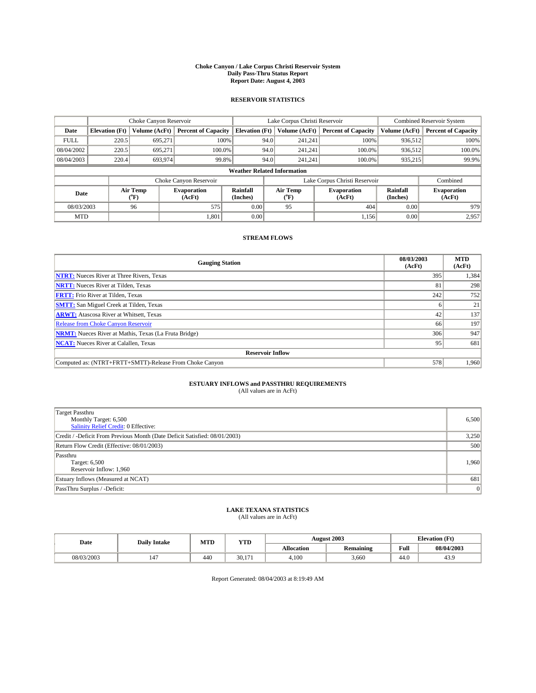#### **Choke Canyon / Lake Corpus Christi Reservoir System Daily Pass-Thru Status Report Report Date: August 4, 2003**

### **RESERVOIR STATISTICS**

|                                    | Choke Canyon Reservoir                                              |                  |                              |                       | Lake Corpus Christi Reservoir |                  |                              |                      | <b>Combined Reservoir System</b> |  |  |
|------------------------------------|---------------------------------------------------------------------|------------------|------------------------------|-----------------------|-------------------------------|------------------|------------------------------|----------------------|----------------------------------|--|--|
| Date                               | <b>Elevation</b> (Ft)                                               | Volume (AcFt)    | <b>Percent of Capacity</b>   | <b>Elevation (Ft)</b> |                               | Volume (AcFt)    | <b>Percent of Capacity</b>   | Volume (AcFt)        | <b>Percent of Capacity</b>       |  |  |
| <b>FULL</b>                        | 220.5                                                               | 695,271          | 100%                         |                       | 94.0                          | 241,241          | 100%                         | 936.512              | 100%                             |  |  |
| 08/04/2002                         | 220.5                                                               | 695.271          | $100.0\%$                    |                       | 94.0                          | 241.241          | $100.0\%$                    | 936.512              | 100.0%                           |  |  |
| 08/04/2003                         | 220.4                                                               | 693,974          | 99.8%                        |                       | 94.0                          | 241.241          | $100.0\%$                    | 935,215              | 99.9%                            |  |  |
| <b>Weather Related Information</b> |                                                                     |                  |                              |                       |                               |                  |                              |                      |                                  |  |  |
|                                    | Lake Corpus Christi Reservoir<br>Choke Canyon Reservoir<br>Combined |                  |                              |                       |                               |                  |                              |                      |                                  |  |  |
| Date                               |                                                                     | Air Temp<br>(°F) | <b>Evaporation</b><br>(AcFt) | Rainfall<br>(Inches)  |                               | Air Temp<br>("F) | <b>Evaporation</b><br>(AcFt) | Rainfall<br>(Inches) | <b>Evaporation</b><br>(AcFt)     |  |  |
| 08/03/2003                         |                                                                     | 96               | 575                          | 0.00                  |                               | 95               | 404                          | 0.00                 | 979                              |  |  |
| <b>MTD</b>                         |                                                                     |                  | 1,801                        | 0.00                  |                               |                  | 1,156                        | 0.00                 | 2,957                            |  |  |

### **STREAM FLOWS**

| <b>Gauging Station</b>                                       | 08/03/2003<br>(AcFt) | <b>MTD</b><br>(AcFt) |
|--------------------------------------------------------------|----------------------|----------------------|
| <b>NTRT:</b> Nueces River at Three Rivers, Texas             | 395                  | 1,384                |
| <b>NRTT:</b> Nueces River at Tilden, Texas                   | 81                   | 298                  |
| <b>FRTT:</b> Frio River at Tilden, Texas                     | 242                  | 752                  |
| <b>SMTT:</b> San Miguel Creek at Tilden, Texas               |                      | 21                   |
| <b>ARWT:</b> Atascosa River at Whitsett, Texas               | 42                   | 137                  |
| Release from Choke Canyon Reservoir                          | 66                   | 197                  |
| <b>NRMT:</b> Nueces River at Mathis, Texas (La Fruta Bridge) | 306                  | 947                  |
| <b>NCAT:</b> Nueces River at Calallen, Texas                 | 95                   | 681                  |
| <b>Reservoir Inflow</b>                                      |                      |                      |
| Computed as: (NTRT+FRTT+SMTT)-Release From Choke Canyon      | 578                  | 1.960                |

# **ESTUARY INFLOWS and PASSTHRU REQUIREMENTS**<br>(All values are in AcFt)

| Target Passthru<br>Monthly Target: 6,500<br>Salinity Relief Credit: 0 Effective: | 6,500 |
|----------------------------------------------------------------------------------|-------|
| Credit / -Deficit From Previous Month (Date Deficit Satisfied: 08/01/2003)       | 3,250 |
| Return Flow Credit (Effective: 08/01/2003)                                       | 500   |
| Passthru<br>Target: 6,500<br>Reservoir Inflow: 1,960                             | 1,960 |
| Estuary Inflows (Measured at NCAT)                                               | 681   |
| PassThru Surplus / -Deficit:                                                     | 0     |

# **LAKE TEXANA STATISTICS** (All values are in AcFt)

| Date       | <b>Daily Intake</b>            | MTD | <b>YTD</b>      |                   | <b>August 2003</b> | <b>Elevation</b> (Ft) |                |
|------------|--------------------------------|-----|-----------------|-------------------|--------------------|-----------------------|----------------|
|            |                                |     |                 | <b>Allocation</b> | <b>Remaining</b>   | Full                  | 08/04/2003     |
| 08/03/2003 | $\overline{\phantom{a}}$<br>14 | 440 | 30.17<br>$\sim$ | 4,100             | 3.660              | $\sim$<br>44.V        | $\sim$<br>43.9 |

Report Generated: 08/04/2003 at 8:19:49 AM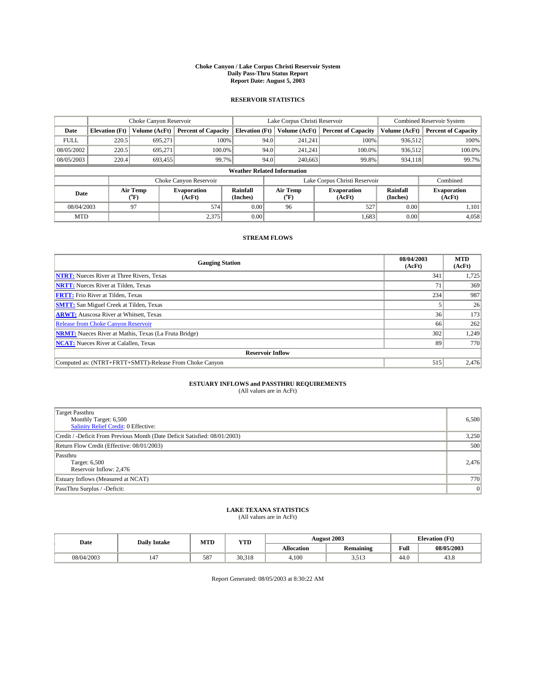#### **Choke Canyon / Lake Corpus Christi Reservoir System Daily Pass-Thru Status Report Report Date: August 5, 2003**

### **RESERVOIR STATISTICS**

|             | Choke Canyon Reservoir             |                             |                              |                             | Lake Corpus Christi Reservoir |                  |                               |                             | <b>Combined Reservoir System</b> |  |  |
|-------------|------------------------------------|-----------------------------|------------------------------|-----------------------------|-------------------------------|------------------|-------------------------------|-----------------------------|----------------------------------|--|--|
| Date        | <b>Elevation</b> (Ft)              | Volume (AcFt)               | <b>Percent of Capacity</b>   | <b>Elevation</b> (Ft)       |                               | Volume (AcFt)    | <b>Percent of Capacity</b>    | Volume (AcFt)               | <b>Percent of Capacity</b>       |  |  |
| <b>FULL</b> | 220.5                              | 695,271                     |                              | 100%                        | 94.0                          | 241,241          | 100%                          | 936.512                     | 100%                             |  |  |
| 08/05/2002  | 220.5                              | 695.271                     | $100.0\%$                    |                             | 94.0                          | 241.241          | $100.0\%$                     | 936,512                     | 100.0%                           |  |  |
| 08/05/2003  | 220.4                              | 693,455                     |                              | 99.7%                       | 94.0                          | 240,663          | 99.8%                         | 934,118                     | 99.7%                            |  |  |
|             | <b>Weather Related Information</b> |                             |                              |                             |                               |                  |                               |                             |                                  |  |  |
|             |                                    |                             | Choke Canyon Reservoir       |                             |                               |                  | Lake Corpus Christi Reservoir |                             | Combined                         |  |  |
| Date        |                                    | Air Temp<br>${}^{\circ}$ F) | <b>Evaporation</b><br>(AcFt) | <b>Rainfall</b><br>(Inches) |                               | Air Temp<br>("F) | <b>Evaporation</b><br>(AcFt)  | <b>Rainfall</b><br>(Inches) | <b>Evaporation</b><br>(AcFt)     |  |  |
| 08/04/2003  |                                    | 97                          | 574                          | 0.00                        |                               | 96               | 527                           | 0.00                        | 1,101                            |  |  |
| <b>MTD</b>  |                                    |                             | 2,375                        | 0.00                        |                               |                  | 1,683                         | 0.00                        | 4,058                            |  |  |

### **STREAM FLOWS**

| <b>Gauging Station</b>                                       | 08/04/2003<br>(AcFt) | <b>MTD</b><br>(AcFt) |  |  |  |  |
|--------------------------------------------------------------|----------------------|----------------------|--|--|--|--|
| <b>NTRT:</b> Nueces River at Three Rivers, Texas             | 341                  | 1,725                |  |  |  |  |
| <b>NRTT:</b> Nueces River at Tilden, Texas                   | 71                   | 369                  |  |  |  |  |
| <b>FRTT:</b> Frio River at Tilden, Texas                     | 234                  | 987                  |  |  |  |  |
| <b>SMTT:</b> San Miguel Creek at Tilden, Texas               |                      | 26                   |  |  |  |  |
| <b>ARWT:</b> Atascosa River at Whitsett, Texas               | 36                   | 173                  |  |  |  |  |
| Release from Choke Canyon Reservoir                          | 66                   | 262                  |  |  |  |  |
| <b>NRMT:</b> Nueces River at Mathis, Texas (La Fruta Bridge) | 302                  | 1,249                |  |  |  |  |
| <b>NCAT:</b> Nueces River at Calallen, Texas                 | 89                   | 770                  |  |  |  |  |
| <b>Reservoir Inflow</b>                                      |                      |                      |  |  |  |  |
| Computed as: (NTRT+FRTT+SMTT)-Release From Choke Canyon      | 515                  | 2,476                |  |  |  |  |

## **ESTUARY INFLOWS and PASSTHRU REQUIREMENTS**<br>(All values are in AcFt)

| Target Passthru<br>Monthly Target: 6,500<br>Salinity Relief Credit: 0 Effective: | 6,500 |
|----------------------------------------------------------------------------------|-------|
| Credit / -Deficit From Previous Month (Date Deficit Satisfied: 08/01/2003)       | 3,250 |
| Return Flow Credit (Effective: 08/01/2003)                                       | 500   |
| Passthru<br>Target: 6,500<br>Reservoir Inflow: 2,476                             | 2,476 |
| Estuary Inflows (Measured at NCAT)                                               | 770   |
| PassThru Surplus / -Deficit:                                                     | 0     |

# **LAKE TEXANA STATISTICS** (All values are in AcFt)

| Date       | <b>Daily Intake</b> | MTD | <b>YTD</b> |                   | <b>August 2003</b>    | <b>Elevation</b> (Ft) |                |
|------------|---------------------|-----|------------|-------------------|-----------------------|-----------------------|----------------|
|            |                     |     |            | <b>Allocation</b> | .<br><b>Remaining</b> | Full                  | 08/05/2003     |
| 08/04/2003 | 147                 | 587 | 30.318     | 4,100             | 5517<br>ر د ر. د      | $\sim$<br>44.0        | $\sim$<br>45.8 |

Report Generated: 08/05/2003 at 8:30:22 AM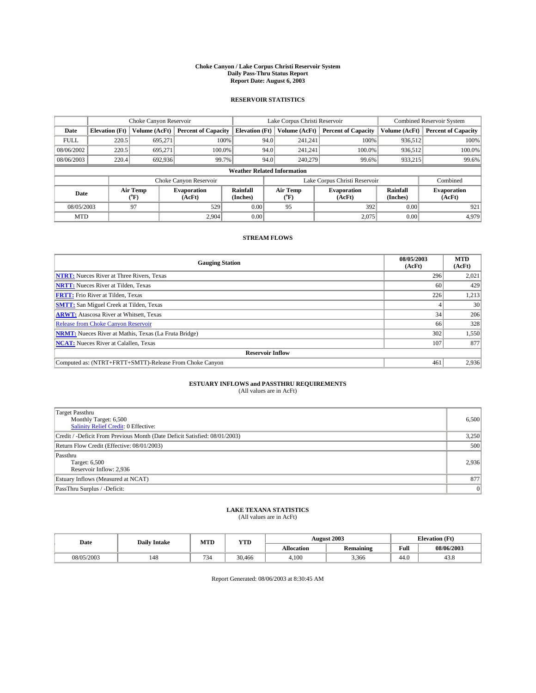#### **Choke Canyon / Lake Corpus Christi Reservoir System Daily Pass-Thru Status Report Report Date: August 6, 2003**

### **RESERVOIR STATISTICS**

|             | Choke Canyon Reservoir             |                  |                              |                             | Lake Corpus Christi Reservoir |                  |                               |                      | <b>Combined Reservoir System</b> |  |  |
|-------------|------------------------------------|------------------|------------------------------|-----------------------------|-------------------------------|------------------|-------------------------------|----------------------|----------------------------------|--|--|
| Date        | <b>Elevation</b> (Ft)              | Volume (AcFt)    | <b>Percent of Capacity</b>   | <b>Elevation (Ft)</b>       |                               | Volume (AcFt)    | <b>Percent of Capacity</b>    | Volume (AcFt)        | <b>Percent of Capacity</b>       |  |  |
| <b>FULL</b> | 220.5                              | 695,271          |                              | 100%                        | 94.0                          | 241,241          | 100%                          | 936.512              | 100%                             |  |  |
| 08/06/2002  | 220.5                              | 695.271          | $100.0\%$                    |                             | 94.0                          | 241.241          | $100.0\%$                     | 936,512              | 100.0%                           |  |  |
| 08/06/2003  | 220.4                              | 692,936          | 99.7%                        |                             | 94.0                          | 240,279          | 99.6%                         | 933,215              | 99.6%                            |  |  |
|             | <b>Weather Related Information</b> |                  |                              |                             |                               |                  |                               |                      |                                  |  |  |
|             |                                    |                  | Choke Canyon Reservoir       |                             |                               |                  | Lake Corpus Christi Reservoir |                      | Combined                         |  |  |
| Date        |                                    | Air Temp<br>(°F) | <b>Evaporation</b><br>(AcFt) | <b>Rainfall</b><br>(Inches) |                               | Air Temp<br>("F) | <b>Evaporation</b><br>(AcFt)  | Rainfall<br>(Inches) | <b>Evaporation</b><br>(AcFt)     |  |  |
| 08/05/2003  |                                    | 97               | 529                          | 0.00                        |                               | 95               | 392                           | 0.00                 | 921                              |  |  |
| <b>MTD</b>  |                                    |                  | 2.904                        | 0.00                        |                               |                  | 2,075                         | 0.00                 | 4,979                            |  |  |

### **STREAM FLOWS**

| <b>Gauging Station</b>                                       | 08/05/2003<br>(AcFt) | <b>MTD</b><br>(AcFt) |  |  |  |  |
|--------------------------------------------------------------|----------------------|----------------------|--|--|--|--|
| <b>NTRT:</b> Nueces River at Three Rivers, Texas             | 296                  | 2,021                |  |  |  |  |
| <b>NRTT:</b> Nueces River at Tilden, Texas                   | -60                  | 429                  |  |  |  |  |
| <b>FRTT:</b> Frio River at Tilden, Texas                     | 226                  | 1,213                |  |  |  |  |
| <b>SMTT:</b> San Miguel Creek at Tilden, Texas               |                      | 30                   |  |  |  |  |
| <b>ARWT:</b> Atascosa River at Whitsett, Texas               | 34                   | 206                  |  |  |  |  |
| <b>Release from Choke Canyon Reservoir</b>                   | 66                   | 328                  |  |  |  |  |
| <b>NRMT:</b> Nueces River at Mathis, Texas (La Fruta Bridge) | 302                  | 1,550                |  |  |  |  |
| <b>NCAT:</b> Nueces River at Calallen, Texas                 | 107                  | 877                  |  |  |  |  |
| <b>Reservoir Inflow</b>                                      |                      |                      |  |  |  |  |
| Computed as: (NTRT+FRTT+SMTT)-Release From Choke Canyon      | 461                  | 2,936                |  |  |  |  |

## **ESTUARY INFLOWS and PASSTHRU REQUIREMENTS**<br>(All values are in AcFt)

| Target Passthru<br>Monthly Target: 6,500<br>Salinity Relief Credit: 0 Effective: | 6,500 |
|----------------------------------------------------------------------------------|-------|
| Credit / -Deficit From Previous Month (Date Deficit Satisfied: 08/01/2003)       | 3,250 |
| Return Flow Credit (Effective: 08/01/2003)                                       | 500   |
| Passthru<br>Target: 6,500<br>Reservoir Inflow: 2,936                             | 2.936 |
| Estuary Inflows (Measured at NCAT)                                               | 877   |
| PassThru Surplus / -Deficit:                                                     | 0     |

# **LAKE TEXANA STATISTICS** (All values are in AcFt)

| Date       | <b>Daily Intake</b> | MTD | <b>YTD</b> |                   | <b>August 2003</b> | <b>Elevation</b> (Ft) |            |
|------------|---------------------|-----|------------|-------------------|--------------------|-----------------------|------------|
|            |                     |     |            | <b>Allocation</b> | Remaining          | Full                  | 08/06/2003 |
| 08/05/2003 | 148                 | 734 | 30.466     | 4,100             | 3.366              | $\sim$<br>44.0        | 45.8       |

Report Generated: 08/06/2003 at 8:30:45 AM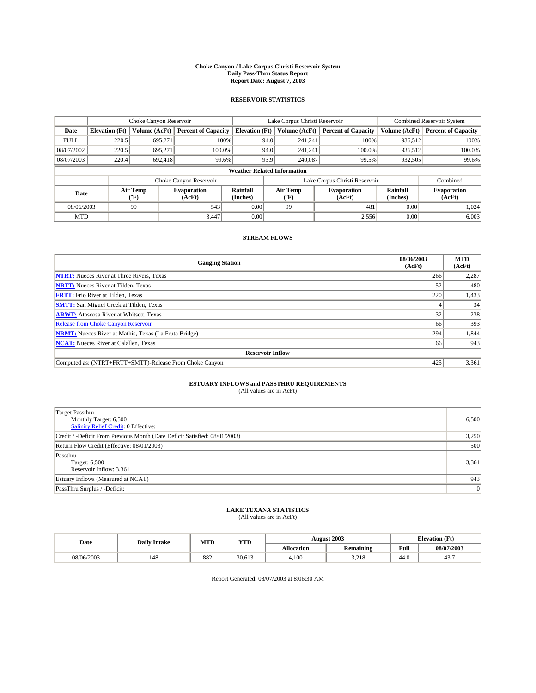#### **Choke Canyon / Lake Corpus Christi Reservoir System Daily Pass-Thru Status Report Report Date: August 7, 2003**

### **RESERVOIR STATISTICS**

|             | Choke Canyon Reservoir                                              |                  | Lake Corpus Christi Reservoir |                             |      |                  | <b>Combined Reservoir System</b> |                      |                              |  |
|-------------|---------------------------------------------------------------------|------------------|-------------------------------|-----------------------------|------|------------------|----------------------------------|----------------------|------------------------------|--|
| Date        | <b>Elevation</b> (Ft)                                               | Volume (AcFt)    | <b>Percent of Capacity</b>    | <b>Elevation (Ft)</b>       |      | Volume (AcFt)    | <b>Percent of Capacity</b>       | Volume (AcFt)        | <b>Percent of Capacity</b>   |  |
| <b>FULL</b> | 220.5                                                               | 695,271          |                               | 100%                        | 94.0 | 241,241          | 100%                             | 936.512              | 100%                         |  |
| 08/07/2002  | 220.5                                                               | 695.271          | $100.0\%$                     |                             | 94.0 | 241.241          | $100.0\%$                        | 936.512              | 100.0%                       |  |
| 08/07/2003  | 220.4                                                               | 692.418          | 99.6%                         |                             | 93.9 | 240,087          | 99.5%                            | 932,505              | 99.6%                        |  |
|             | <b>Weather Related Information</b>                                  |                  |                               |                             |      |                  |                                  |                      |                              |  |
|             | Lake Corpus Christi Reservoir<br>Choke Canyon Reservoir<br>Combined |                  |                               |                             |      |                  |                                  |                      |                              |  |
| Date        |                                                                     | Air Temp<br>(°F) | <b>Evaporation</b><br>(AcFt)  | <b>Rainfall</b><br>(Inches) |      | Air Temp<br>("F) | <b>Evaporation</b><br>(AcFt)     | Rainfall<br>(Inches) | <b>Evaporation</b><br>(AcFt) |  |
| 08/06/2003  |                                                                     | 99               | 543                           | 0.00                        |      | 99               | 481                              | 0.00                 | 1.024                        |  |
| <b>MTD</b>  |                                                                     |                  | 3,447                         | 0.00                        |      |                  | 2,556                            | 0.00                 | 6,003                        |  |

### **STREAM FLOWS**

| <b>Gauging Station</b>                                       | 08/06/2003<br>(AcFt) | <b>MTD</b><br>(AcFt) |
|--------------------------------------------------------------|----------------------|----------------------|
| <b>NTRT:</b> Nueces River at Three Rivers, Texas             | 266                  | 2,287                |
| <b>NRTT:</b> Nueces River at Tilden, Texas                   | 52                   | 480                  |
| <b>FRTT:</b> Frio River at Tilden, Texas                     | 220                  | 1,433                |
| <b>SMTT:</b> San Miguel Creek at Tilden, Texas               |                      | 34                   |
| <b>ARWT:</b> Atascosa River at Whitsett, Texas               | 32 <sub>1</sub>      | 238                  |
| <b>Release from Choke Canyon Reservoir</b>                   | 66                   | 393                  |
| <b>NRMT:</b> Nueces River at Mathis, Texas (La Fruta Bridge) | 294                  | 1,844                |
| <b>NCAT:</b> Nueces River at Calallen, Texas                 | 66                   | 943                  |
| <b>Reservoir Inflow</b>                                      |                      |                      |
| Computed as: (NTRT+FRTT+SMTT)-Release From Choke Canyon      | 425                  | 3,361                |

# **ESTUARY INFLOWS and PASSTHRU REQUIREMENTS**<br>(All values are in AcFt)

| Target Passthru<br>Monthly Target: 6,500<br>Salinity Relief Credit: 0 Effective: | 6,500 |
|----------------------------------------------------------------------------------|-------|
| Credit / -Deficit From Previous Month (Date Deficit Satisfied: 08/01/2003)       | 3,250 |
| Return Flow Credit (Effective: 08/01/2003)                                       | 500   |
| Passthru<br>Target: 6,500<br>Reservoir Inflow: 3,361                             | 3,361 |
| Estuary Inflows (Measured at NCAT)                                               | 943   |
| PassThru Surplus / -Deficit:                                                     | 0     |

# **LAKE TEXANA STATISTICS** (All values are in AcFt)

| Date       | <b>Daily Intake</b> | MTD | <b>VTT</b><br>1 I D |                   | <b>August 2003</b> | <b>Elevation</b> (Ft) |            |
|------------|---------------------|-----|---------------------|-------------------|--------------------|-----------------------|------------|
|            |                     |     |                     | <b>Allocation</b> | <b>Remaining</b>   | Full                  | 08/07/2003 |
| 08/06/2003 | 148                 | 882 | 30.613              | 4,100             | 0.10<br>3,210      | $\sqrt{ }$<br>44.U    | 45         |

Report Generated: 08/07/2003 at 8:06:30 AM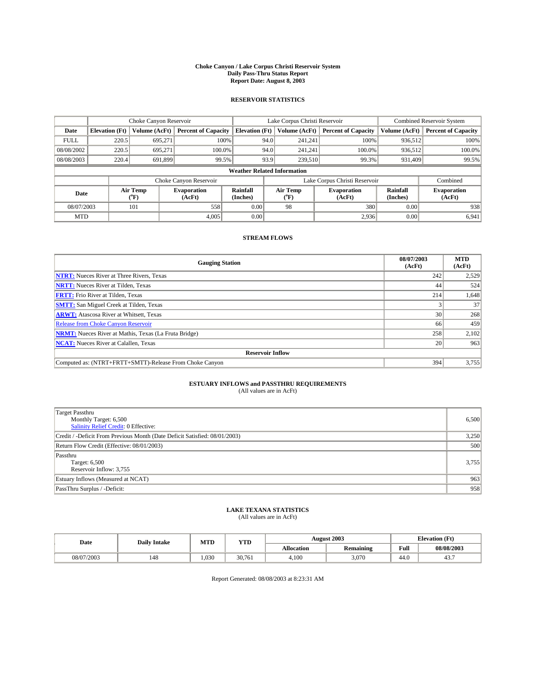#### **Choke Canyon / Lake Corpus Christi Reservoir System Daily Pass-Thru Status Report Report Date: August 8, 2003**

### **RESERVOIR STATISTICS**

|                                                                                         | Choke Canyon Reservoir                                              |               |                            |                              | Lake Corpus Christi Reservoir |                              |                            |               | <b>Combined Reservoir System</b> |  |  |
|-----------------------------------------------------------------------------------------|---------------------------------------------------------------------|---------------|----------------------------|------------------------------|-------------------------------|------------------------------|----------------------------|---------------|----------------------------------|--|--|
| Date                                                                                    | <b>Elevation</b> (Ft)                                               | Volume (AcFt) | <b>Percent of Capacity</b> | <b>Elevation (Ft)</b>        |                               | Volume (AcFt)                | <b>Percent of Capacity</b> | Volume (AcFt) | <b>Percent of Capacity</b>       |  |  |
| <b>FULL</b>                                                                             | 220.5                                                               | 695,271       |                            | 100%                         | 94.0                          | 241,241                      | 100%                       | 936.512       | 100%                             |  |  |
| 08/08/2002                                                                              | 220.5                                                               | 695.271       | $100.0\%$                  |                              | 94.0                          | 241.241                      | $100.0\%$                  | 936,512       | 100.0%                           |  |  |
| 08/08/2003                                                                              | 220.4                                                               | 691.899       | 99.5%                      |                              | 93.9                          | 239,510                      | 99.3%                      | 931,409       | 99.5%                            |  |  |
| <b>Weather Related Information</b>                                                      |                                                                     |               |                            |                              |                               |                              |                            |               |                                  |  |  |
|                                                                                         | Lake Corpus Christi Reservoir<br>Choke Canyon Reservoir<br>Combined |               |                            |                              |                               |                              |                            |               |                                  |  |  |
| Air Temp<br><b>Rainfall</b><br><b>Evaporation</b><br>Date<br>(°F)<br>(AcFt)<br>(Inches) |                                                                     |               | Air Temp<br>("F)           | <b>Evaporation</b><br>(AcFt) | Rainfall<br>(Inches)          | <b>Evaporation</b><br>(AcFt) |                            |               |                                  |  |  |
| 08/07/2003                                                                              |                                                                     | 101           | 558                        | 0.00                         |                               | 98                           | 380                        | 0.00          | 938                              |  |  |
| <b>MTD</b>                                                                              |                                                                     |               | 4,005                      | 0.00                         |                               |                              | 2,936                      | 0.00          | 6,941                            |  |  |

### **STREAM FLOWS**

| <b>Gauging Station</b>                                       | 08/07/2003<br>(AcFt) | <b>MTD</b><br>(AcFt) |
|--------------------------------------------------------------|----------------------|----------------------|
| <b>NTRT:</b> Nueces River at Three Rivers, Texas             | 242                  | 2,529                |
| <b>NRTT:</b> Nueces River at Tilden, Texas                   | 44                   | 524                  |
| <b>FRTT:</b> Frio River at Tilden, Texas                     | 214                  | 1,648                |
| <b>SMTT:</b> San Miguel Creek at Tilden, Texas               |                      | 37                   |
| <b>ARWT:</b> Atascosa River at Whitsett, Texas               | 30 <sup>1</sup>      | 268                  |
| <b>Release from Choke Canyon Reservoir</b>                   | 66                   | 459                  |
| <b>NRMT:</b> Nueces River at Mathis, Texas (La Fruta Bridge) | 258                  | 2,102                |
| <b>NCAT:</b> Nueces River at Calallen, Texas                 | 20                   | 963                  |
| <b>Reservoir Inflow</b>                                      |                      |                      |
| Computed as: (NTRT+FRTT+SMTT)-Release From Choke Canyon      | 394                  | 3,755                |

## **ESTUARY INFLOWS and PASSTHRU REQUIREMENTS**<br>(All values are in AcFt)

| <b>Target Passthru</b><br>Monthly Target: 6,500<br>Salinity Relief Credit: 0 Effective: | 6,500 |
|-----------------------------------------------------------------------------------------|-------|
| Credit / -Deficit From Previous Month (Date Deficit Satisfied: 08/01/2003)              | 3,250 |
| Return Flow Credit (Effective: 08/01/2003)                                              | 500   |
| Passthru<br>Target: 6,500<br>Reservoir Inflow: 3,755                                    | 3,755 |
| Estuary Inflows (Measured at NCAT)                                                      | 963   |
| PassThru Surplus / -Deficit:                                                            | 958   |

# **LAKE TEXANA STATISTICS** (All values are in AcFt)

| Date       | <b>Daily Intake</b> | MTD  | <b>VTT</b><br>1 I D |                   | <b>August 2003</b> | <b>Elevation</b> (Ft) |            |
|------------|---------------------|------|---------------------|-------------------|--------------------|-----------------------|------------|
|            |                     |      |                     | <b>Allocation</b> | <b>Remaining</b>   | Full                  | 08/08/2003 |
| 08/07/2003 | 148                 | .030 | 30.761              | 4,100             | 3.070              | $\sqrt{ }$<br>44.U    | 45         |

Report Generated: 08/08/2003 at 8:23:31 AM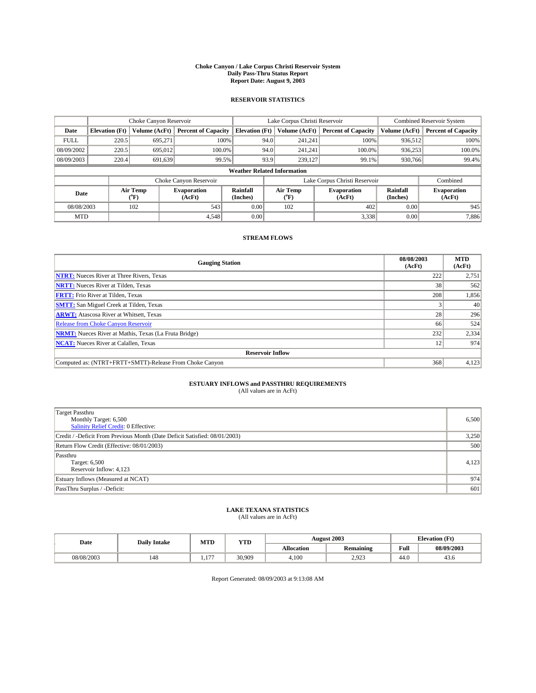#### **Choke Canyon / Lake Corpus Christi Reservoir System Daily Pass-Thru Status Report Report Date: August 9, 2003**

### **RESERVOIR STATISTICS**

|                                    | Choke Canyon Reservoir                                              |               | Lake Corpus Christi Reservoir |                             |      |                  | <b>Combined Reservoir System</b> |                      |                              |
|------------------------------------|---------------------------------------------------------------------|---------------|-------------------------------|-----------------------------|------|------------------|----------------------------------|----------------------|------------------------------|
| Date                               | <b>Elevation</b> (Ft)                                               | Volume (AcFt) | <b>Percent of Capacity</b>    | <b>Elevation (Ft)</b>       |      | Volume (AcFt)    | <b>Percent of Capacity</b>       | Volume (AcFt)        | <b>Percent of Capacity</b>   |
| <b>FULL</b>                        | 220.5                                                               | 695,271       |                               | 100%                        | 94.0 | 241,241          | 100%                             | 936.512              | 100%                         |
| 08/09/2002                         | 220.5                                                               | 695,012       | $100.0\%$                     |                             | 94.0 | 241.241          | $100.0\%$                        | 936.253              | 100.0%                       |
| 08/09/2003                         | 220.4                                                               | 691.639       | 99.5%                         |                             | 93.9 | 239.127          | 99.1%                            | 930,766              | 99.4%                        |
| <b>Weather Related Information</b> |                                                                     |               |                               |                             |      |                  |                                  |                      |                              |
|                                    | Lake Corpus Christi Reservoir<br>Choke Canyon Reservoir<br>Combined |               |                               |                             |      |                  |                                  |                      |                              |
| Air Temp<br>Date<br>(°F)           |                                                                     |               | <b>Evaporation</b><br>(AcFt)  | <b>Rainfall</b><br>(Inches) |      | Air Temp<br>("F) | <b>Evaporation</b><br>(AcFt)     | Rainfall<br>(Inches) | <b>Evaporation</b><br>(AcFt) |
| 08/08/2003                         |                                                                     | 102           | 543                           | 0.00                        |      | 102              | 402                              | 0.00                 | 945                          |
| <b>MTD</b>                         |                                                                     |               | 4,548                         | 0.00                        |      |                  | 3,338                            | 0.00                 | 7,886                        |

### **STREAM FLOWS**

| <b>Gauging Station</b>                                       | 08/08/2003<br>(AcFt) | <b>MTD</b><br>(AcFt) |
|--------------------------------------------------------------|----------------------|----------------------|
| <b>NTRT:</b> Nueces River at Three Rivers, Texas             | 222                  | 2,751                |
| <b>NRTT:</b> Nueces River at Tilden, Texas                   | 38 <sup>1</sup>      | 562                  |
| <b>FRTT:</b> Frio River at Tilden, Texas                     | 208                  | 1,856                |
| <b>SMTT:</b> San Miguel Creek at Tilden, Texas               |                      | 40                   |
| <b>ARWT:</b> Atascosa River at Whitsett, Texas               | 28                   | 296                  |
| <b>Release from Choke Canyon Reservoir</b>                   | 66                   | 524                  |
| <b>NRMT:</b> Nueces River at Mathis, Texas (La Fruta Bridge) | 232                  | 2,334                |
| <b>NCAT:</b> Nueces River at Calallen, Texas                 | 12                   | 974                  |
| <b>Reservoir Inflow</b>                                      |                      |                      |
| Computed as: (NTRT+FRTT+SMTT)-Release From Choke Canyon      | 368                  | 4,123                |

## **ESTUARY INFLOWS and PASSTHRU REQUIREMENTS**<br>(All values are in AcFt)

| <b>Target Passthru</b><br>Monthly Target: 6,500<br>Salinity Relief Credit: 0 Effective: | 6,500 |
|-----------------------------------------------------------------------------------------|-------|
| Credit / -Deficit From Previous Month (Date Deficit Satisfied: 08/01/2003)              | 3,250 |
| Return Flow Credit (Effective: 08/01/2003)                                              | 500   |
| Passthru<br>Target: 6,500<br>Reservoir Inflow: 4,123                                    | 4,123 |
| Estuary Inflows (Measured at NCAT)                                                      | 974   |
| PassThru Surplus / -Deficit:                                                            | 601   |

# **LAKE TEXANA STATISTICS** (All values are in AcFt)

| Date       | <b>Daily Intake</b> | MTD        | <b>YTD</b> |                   | <b>August 2003</b>                | <b>Elevation</b> (Ft) |            |
|------------|---------------------|------------|------------|-------------------|-----------------------------------|-----------------------|------------|
|            |                     |            |            | <b>Allocation</b> | $\ddot{\phantom{a}}$<br>Remaining | Full                  | 08/09/2003 |
| 08/08/2003 | 148                 | $\sim$ $-$ | 30.909     | 4,100             | 2,923                             | $\sim$<br>44.0        | 45.0       |

Report Generated: 08/09/2003 at 9:13:08 AM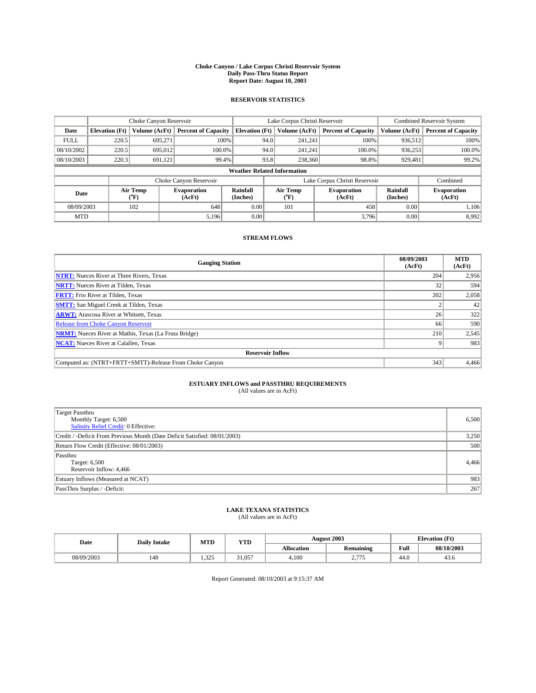#### **Choke Canyon / Lake Corpus Christi Reservoir System Daily Pass-Thru Status Report Report Date: August 10, 2003**

### **RESERVOIR STATISTICS**

|                                    | Choke Canyon Reservoir |                  | Lake Corpus Christi Reservoir |                             |      |                  | <b>Combined Reservoir System</b> |                      |                              |
|------------------------------------|------------------------|------------------|-------------------------------|-----------------------------|------|------------------|----------------------------------|----------------------|------------------------------|
| Date                               | <b>Elevation</b> (Ft)  | Volume (AcFt)    | <b>Percent of Capacity</b>    | <b>Elevation (Ft)</b>       |      | Volume (AcFt)    | <b>Percent of Capacity</b>       | Volume (AcFt)        | <b>Percent of Capacity</b>   |
| <b>FULL</b>                        | 220.5                  | 695,271          |                               | 100%                        | 94.0 | 241,241          | 100%                             | 936.512              | 100%                         |
| 08/10/2002                         | 220.5                  | 695,012          | $100.0\%$                     |                             | 94.0 | 241.241          | $100.0\%$                        | 936,253              | 100.0%                       |
| 08/10/2003                         | 220.3                  | 691,121          | 99.4%                         |                             | 93.8 | 238,360          | 98.8%                            | 929,481              | 99.2%                        |
| <b>Weather Related Information</b> |                        |                  |                               |                             |      |                  |                                  |                      |                              |
|                                    |                        |                  | Choke Canyon Reservoir        |                             |      |                  | Lake Corpus Christi Reservoir    |                      | Combined                     |
| Date                               |                        | Air Temp<br>(°F) | <b>Evaporation</b><br>(AcFt)  | <b>Rainfall</b><br>(Inches) |      | Air Temp<br>("F) | <b>Evaporation</b><br>(AcFt)     | Rainfall<br>(Inches) | <b>Evaporation</b><br>(AcFt) |
| 08/09/2003                         |                        | 102              | 648                           | 0.00                        |      | 101              | 458                              | 0.00                 | 1,106                        |
| <b>MTD</b>                         |                        |                  | 5,196                         | 0.00                        |      |                  | 3,796                            | 0.00                 | 8,992                        |

### **STREAM FLOWS**

| <b>Gauging Station</b>                                       | 08/09/2003<br>(AcFt) | <b>MTD</b><br>(AcFt) |  |  |  |  |  |
|--------------------------------------------------------------|----------------------|----------------------|--|--|--|--|--|
| <b>NTRT:</b> Nueces River at Three Rivers, Texas             | 204                  | 2,956                |  |  |  |  |  |
| <b>NRTT:</b> Nueces River at Tilden, Texas                   | 32                   | 594                  |  |  |  |  |  |
| <b>FRTT:</b> Frio River at Tilden, Texas                     | 202                  | 2,058                |  |  |  |  |  |
| <b>SMTT:</b> San Miguel Creek at Tilden, Texas               |                      | 42                   |  |  |  |  |  |
| <b>ARWT:</b> Atascosa River at Whitsett, Texas               | 26                   | 322                  |  |  |  |  |  |
| Release from Choke Canyon Reservoir                          | 66                   | 590                  |  |  |  |  |  |
| <b>NRMT:</b> Nueces River at Mathis, Texas (La Fruta Bridge) | 210                  | 2,545                |  |  |  |  |  |
| <b>NCAT:</b> Nueces River at Calallen, Texas                 |                      | 983                  |  |  |  |  |  |
| <b>Reservoir Inflow</b>                                      |                      |                      |  |  |  |  |  |
| Computed as: (NTRT+FRTT+SMTT)-Release From Choke Canyon      | 343                  | 4.466                |  |  |  |  |  |

## **ESTUARY INFLOWS and PASSTHRU REQUIREMENTS**<br>(All values are in AcFt)

| Target Passthru<br>Monthly Target: 6,500<br>Salinity Relief Credit: 0 Effective: | 6,500 |
|----------------------------------------------------------------------------------|-------|
| Credit / -Deficit From Previous Month (Date Deficit Satisfied: 08/01/2003)       | 3,250 |
| Return Flow Credit (Effective: 08/01/2003)                                       | 500   |
| Passthru<br>Target: 6,500<br>Reservoir Inflow: 4,466                             | 4,466 |
| Estuary Inflows (Measured at NCAT)                                               | 983   |
| PassThru Surplus / -Deficit:                                                     | 267   |

# **LAKE TEXANA STATISTICS** (All values are in AcFt)

| Date       | <b>Daily Intake</b> | MTD                 | <b>YTD</b> |                   | <b>August 2003</b>  |                | <b>Elevation</b> (Ft) |
|------------|---------------------|---------------------|------------|-------------------|---------------------|----------------|-----------------------|
|            |                     |                     |            | <b>Allocation</b> | <b>Remaining</b>    | Full           | 08/10/2003            |
| 08/09/2003 | 148                 | 325<br>ت کے قتون کا | ,1.057     | 4,100             | $- - -$<br><u>.</u> | $\sim$<br>44.V | 45.0                  |

Report Generated: 08/10/2003 at 9:15:37 AM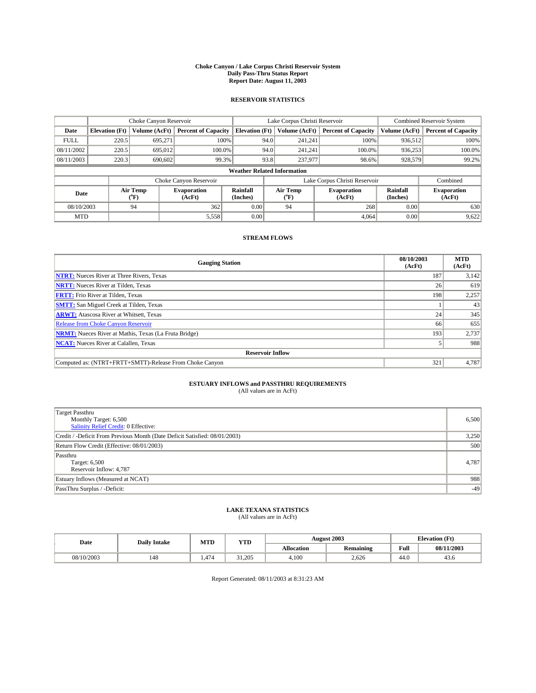#### **Choke Canyon / Lake Corpus Christi Reservoir System Daily Pass-Thru Status Report Report Date: August 11, 2003**

### **RESERVOIR STATISTICS**

|                                    | Choke Canyon Reservoir |                             | Lake Corpus Christi Reservoir |                             |      |                  | <b>Combined Reservoir System</b> |                             |                              |
|------------------------------------|------------------------|-----------------------------|-------------------------------|-----------------------------|------|------------------|----------------------------------|-----------------------------|------------------------------|
| Date                               | <b>Elevation</b> (Ft)  | Volume (AcFt)               | <b>Percent of Capacity</b>    | <b>Elevation</b> (Ft)       |      | Volume (AcFt)    | <b>Percent of Capacity</b>       | Volume (AcFt)               | <b>Percent of Capacity</b>   |
| <b>FULL</b>                        | 220.5                  | 695,271                     | 100%                          |                             | 94.0 | 241,241          | 100%                             | 936.512                     | 100%                         |
| 08/11/2002                         | 220.5                  | 695,012                     | $100.0\%$                     |                             | 94.0 | 241.241          | $100.0\%$                        | 936.253                     | 100.0%                       |
| 08/11/2003                         | 220.3                  | 690,602                     | 99.3%                         |                             | 93.8 | 237,977          | 98.6%                            | 928,579                     | 99.2%                        |
| <b>Weather Related Information</b> |                        |                             |                               |                             |      |                  |                                  |                             |                              |
|                                    |                        |                             | Choke Canyon Reservoir        |                             |      |                  | Lake Corpus Christi Reservoir    |                             | Combined                     |
| Date                               |                        | Air Temp<br>${}^{\circ}$ F) | <b>Evaporation</b><br>(AcFt)  | <b>Rainfall</b><br>(Inches) |      | Air Temp<br>("F) | <b>Evaporation</b><br>(AcFt)     | <b>Rainfall</b><br>(Inches) | <b>Evaporation</b><br>(AcFt) |
| 08/10/2003                         |                        | 94                          | 362                           | 0.00                        |      | 94               | 268                              | 0.00                        | 630                          |
| <b>MTD</b>                         |                        |                             | 5,558                         | 0.00                        |      |                  | 4,064                            | 0.00                        | 9,622                        |

### **STREAM FLOWS**

| <b>Gauging Station</b>                                       | 08/10/2003<br>(AcFt) | <b>MTD</b><br>(AcFt) |  |  |  |  |
|--------------------------------------------------------------|----------------------|----------------------|--|--|--|--|
| <b>NTRT:</b> Nueces River at Three Rivers, Texas             | 187                  | 3,142                |  |  |  |  |
| <b>NRTT:</b> Nueces River at Tilden, Texas                   | 26                   | 619                  |  |  |  |  |
| <b>FRTT:</b> Frio River at Tilden, Texas                     | 198                  | 2,257                |  |  |  |  |
| <b>SMTT:</b> San Miguel Creek at Tilden, Texas               |                      | 43                   |  |  |  |  |
| <b>ARWT:</b> Atascosa River at Whitsett, Texas               | 24 <sub>1</sub>      | 345                  |  |  |  |  |
| <b>Release from Choke Canyon Reservoir</b>                   | 66                   | 655                  |  |  |  |  |
| <b>NRMT:</b> Nueces River at Mathis, Texas (La Fruta Bridge) | 193                  | 2,737                |  |  |  |  |
| <b>NCAT:</b> Nueces River at Calallen, Texas                 |                      | 988                  |  |  |  |  |
| <b>Reservoir Inflow</b>                                      |                      |                      |  |  |  |  |
| Computed as: (NTRT+FRTT+SMTT)-Release From Choke Canyon      | 321                  | 4,787                |  |  |  |  |

## **ESTUARY INFLOWS and PASSTHRU REQUIREMENTS**<br>(All values are in AcFt)

| Target Passthru<br>Monthly Target: 6,500<br>Salinity Relief Credit: 0 Effective: | 6,500 |
|----------------------------------------------------------------------------------|-------|
| Credit / -Deficit From Previous Month (Date Deficit Satisfied: 08/01/2003)       | 3,250 |
| Return Flow Credit (Effective: 08/01/2003)                                       | 500   |
| Passthru<br>Target: 6,500<br>Reservoir Inflow: 4,787                             | 4.787 |
| Estuary Inflows (Measured at NCAT)                                               | 988   |
| PassThru Surplus / -Deficit:                                                     | $-49$ |

# **LAKE TEXANA STATISTICS** (All values are in AcFt)

| Date       | <b>Daily Intake</b> | MTD   | <b>YTD</b> |                   | <b>August 2003</b> | <b>Elevation</b> (Ft) |            |
|------------|---------------------|-------|------------|-------------------|--------------------|-----------------------|------------|
|            |                     |       |            | <b>Allocation</b> | <b>Remaining</b>   | Full                  | 08/11/2003 |
| 08/10/2003 | 148                 | 1.474 | 31.205     | 4,100             | 2,626              | $\sim$<br>44.0        | 45.0       |

Report Generated: 08/11/2003 at 8:31:23 AM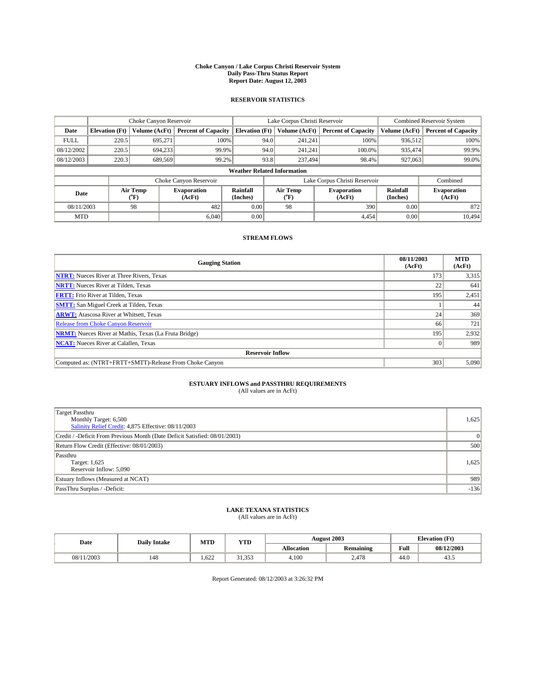#### **Choke Canyon / Lake Corpus Christi Reservoir System Daily Pass-Thru Status Report Report Date: August 12, 2003**

### **RESERVOIR STATISTICS**

|             | Choke Canyon Reservoir             |                             |                              |                             | Lake Corpus Christi Reservoir |                  |                               |                      | <b>Combined Reservoir System</b> |  |  |
|-------------|------------------------------------|-----------------------------|------------------------------|-----------------------------|-------------------------------|------------------|-------------------------------|----------------------|----------------------------------|--|--|
| Date        | <b>Elevation</b> (Ft)              | Volume (AcFt)               | <b>Percent of Capacity</b>   | <b>Elevation</b> (Ft)       |                               | Volume (AcFt)    | <b>Percent of Capacity</b>    | Volume (AcFt)        | <b>Percent of Capacity</b>       |  |  |
| <b>FULL</b> | 220.5                              | 695,271                     |                              | 100%                        | 94.0                          | 241,241          | 100%                          | 936.512              | 100%                             |  |  |
| 08/12/2002  | 220.5                              | 694,233                     | 99.9%                        |                             | 94.0                          | 241.241          | $100.0\%$                     | 935.474              | 99.9%                            |  |  |
| 08/12/2003  | 220.3                              | 689,569                     | 99.2%                        |                             | 93.8                          | 237,494          | 98.4%                         | 927,063              | 99.0%                            |  |  |
|             | <b>Weather Related Information</b> |                             |                              |                             |                               |                  |                               |                      |                                  |  |  |
|             |                                    |                             | Choke Canyon Reservoir       |                             |                               |                  | Lake Corpus Christi Reservoir |                      | Combined                         |  |  |
| Date        |                                    | Air Temp<br>${}^{\circ}$ F) | <b>Evaporation</b><br>(AcFt) | <b>Rainfall</b><br>(Inches) |                               | Air Temp<br>("F) | <b>Evaporation</b><br>(AcFt)  | Rainfall<br>(Inches) | <b>Evaporation</b><br>(AcFt)     |  |  |
| 08/11/2003  |                                    | 98                          | 482                          | 0.00                        |                               | 98               | 390                           | 0.00                 | 872                              |  |  |
| <b>MTD</b>  |                                    |                             | 6.040                        | 0.00                        |                               |                  | 4.454                         | 0.00                 | 10,494                           |  |  |

### **STREAM FLOWS**

| <b>Gauging Station</b>                                       | 08/11/2003<br>(AcFt) | <b>MTD</b><br>(AcFt) |  |  |  |  |  |
|--------------------------------------------------------------|----------------------|----------------------|--|--|--|--|--|
| <b>NTRT:</b> Nueces River at Three Rivers, Texas             | 173                  | 3,315                |  |  |  |  |  |
| <b>NRTT:</b> Nueces River at Tilden, Texas                   | 22                   | 641                  |  |  |  |  |  |
| <b>FRTT:</b> Frio River at Tilden, Texas                     | 195                  | 2,451                |  |  |  |  |  |
| <b>SMTT:</b> San Miguel Creek at Tilden, Texas               |                      | 44                   |  |  |  |  |  |
| <b>ARWT:</b> Atascosa River at Whitsett, Texas               | 24                   | 369                  |  |  |  |  |  |
| <b>Release from Choke Canyon Reservoir</b>                   | 66                   | 721                  |  |  |  |  |  |
| <b>NRMT:</b> Nueces River at Mathis, Texas (La Fruta Bridge) | 195                  | 2,932                |  |  |  |  |  |
| <b>NCAT:</b> Nueces River at Calallen, Texas                 |                      | 989                  |  |  |  |  |  |
| <b>Reservoir Inflow</b>                                      |                      |                      |  |  |  |  |  |
| Computed as: (NTRT+FRTT+SMTT)-Release From Choke Canyon      | 303                  | 5.090                |  |  |  |  |  |

# **ESTUARY INFLOWS and PASSTHRU REQUIREMENTS**<br>(All values are in AcFt)

| <b>Target Passthru</b><br>Monthly Target: 6,500<br>Salinity Relief Credit: 4,875 Effective: 08/11/2003 | 1,625  |
|--------------------------------------------------------------------------------------------------------|--------|
| Credit / -Deficit From Previous Month (Date Deficit Satisfied: 08/01/2003)                             |        |
| Return Flow Credit (Effective: 08/01/2003)                                                             | 500    |
| Passthru<br>Target: 1,625<br>Reservoir Inflow: 5,090                                                   | 1,625  |
| Estuary Inflows (Measured at NCAT)                                                                     | 989    |
| PassThru Surplus / -Deficit:                                                                           | $-136$ |

# **LAKE TEXANA STATISTICS** (All values are in AcFt)

| Date             | <b>Daily Intake</b> | MTD  | <b>YTD</b>      |                   | <b>August 2003</b> | <b>Elevation</b> (Ft) |            |
|------------------|---------------------|------|-----------------|-------------------|--------------------|-----------------------|------------|
|                  |                     |      |                 | <b>Allocation</b> | <b>Remaining</b>   | Full                  | 08/12/2003 |
| 1/2003<br>08/11/ | 148                 | .622 | 250<br><u>.</u> | 4,100             | 2,478              | $\sim$<br>44.V        | 45.5       |

Report Generated: 08/12/2003 at 3:26:32 PM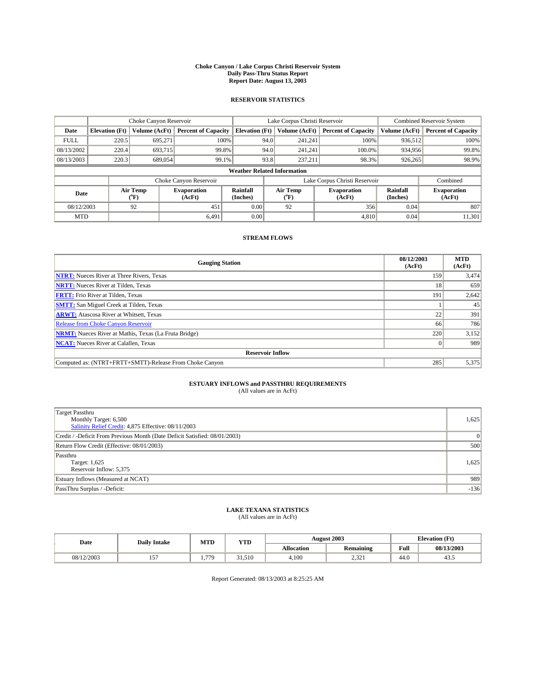#### **Choke Canyon / Lake Corpus Christi Reservoir System Daily Pass-Thru Status Report Report Date: August 13, 2003**

### **RESERVOIR STATISTICS**

|                                    | Choke Canyon Reservoir |                             |                              |                             | Lake Corpus Christi Reservoir |                  |                               |                      | <b>Combined Reservoir System</b> |  |
|------------------------------------|------------------------|-----------------------------|------------------------------|-----------------------------|-------------------------------|------------------|-------------------------------|----------------------|----------------------------------|--|
| Date                               | <b>Elevation</b> (Ft)  | Volume (AcFt)               | <b>Percent of Capacity</b>   | <b>Elevation</b> (Ft)       |                               | Volume (AcFt)    | <b>Percent of Capacity</b>    | Volume (AcFt)        | <b>Percent of Capacity</b>       |  |
| <b>FULL</b>                        | 220.5                  | 695,271                     | 100%                         |                             | 94.0                          | 241,241          | 100%                          | 936.512              | 100%                             |  |
| 08/13/2002                         | 220.4                  | 693,715                     | 99.8%                        |                             | 94.0                          | 241.241          | $100.0\%$                     | 934,956              | 99.8%                            |  |
| 08/13/2003                         | 220.3                  | 689,054                     | 99.1%                        |                             | 93.8                          | 237,211          | 98.3%                         | 926,265              | 98.9%                            |  |
| <b>Weather Related Information</b> |                        |                             |                              |                             |                               |                  |                               |                      |                                  |  |
|                                    |                        |                             | Choke Canyon Reservoir       |                             |                               |                  | Lake Corpus Christi Reservoir |                      | Combined                         |  |
| Date                               |                        | Air Temp<br>${}^{\circ}$ F) | <b>Evaporation</b><br>(AcFt) | <b>Rainfall</b><br>(Inches) |                               | Air Temp<br>("F) | <b>Evaporation</b><br>(AcFt)  | Rainfall<br>(Inches) | <b>Evaporation</b><br>(AcFt)     |  |
| 08/12/2003                         |                        | 92                          | 451                          | 0.00                        |                               | 92               | 356                           | 0.04                 | 807                              |  |
| <b>MTD</b>                         |                        |                             | 6.491                        | 0.00                        |                               |                  | 4,810                         | 0.04                 | 11,301                           |  |

### **STREAM FLOWS**

| <b>Gauging Station</b>                                       | 08/12/2003<br>(AcFt) | <b>MTD</b><br>(AcFt) |
|--------------------------------------------------------------|----------------------|----------------------|
| <b>NTRT:</b> Nueces River at Three Rivers, Texas             | 159                  | 3,474                |
| <b>NRTT:</b> Nueces River at Tilden, Texas                   | 18                   | 659                  |
| <b>FRTT:</b> Frio River at Tilden, Texas                     | 191                  | 2,642                |
| <b>SMTT:</b> San Miguel Creek at Tilden, Texas               |                      | 45                   |
| <b>ARWT:</b> Atascosa River at Whitsett, Texas               | 22                   | 391                  |
| <b>Release from Choke Canyon Reservoir</b>                   | 66                   | 786                  |
| <b>NRMT:</b> Nueces River at Mathis, Texas (La Fruta Bridge) | 220                  | 3,152                |
| <b>NCAT:</b> Nueces River at Calallen, Texas                 |                      | 989                  |
| <b>Reservoir Inflow</b>                                      |                      |                      |
| Computed as: (NTRT+FRTT+SMTT)-Release From Choke Canyon      | 285                  | 5,375                |

# **ESTUARY INFLOWS and PASSTHRU REQUIREMENTS**<br>(All values are in AcFt)

| Target Passthru<br>Monthly Target: 6,500<br>Salinity Relief Credit: 4,875 Effective: 08/11/2003 | 1,625    |
|-------------------------------------------------------------------------------------------------|----------|
| Credit / -Deficit From Previous Month (Date Deficit Satisfied: 08/01/2003)                      | $\Omega$ |
| Return Flow Credit (Effective: 08/01/2003)                                                      | 500      |
| Passthru<br>Target: 1,625<br>Reservoir Inflow: 5,375                                            | 1,625    |
| Estuary Inflows (Measured at NCAT)                                                              | 989      |
| PassThru Surplus / -Deficit:                                                                    | $-136$   |

# **LAKE TEXANA STATISTICS** (All values are in AcFt)

| Date       | <b>Daily Intake</b> | MTD        | <b>YTD</b> |                   | <b>August 2003</b> | <b>Elevation</b> (Ft) |            |
|------------|---------------------|------------|------------|-------------------|--------------------|-----------------------|------------|
|            |                     |            |            | <b>Allocation</b> | Remaining          | Full                  | 08/13/2003 |
| 08/12/2003 | $-$<br>"'           | <b>770</b> | 31.510     | 4,100             | 0.22<br>ہ کے بہت   | $\sim$<br>44.V        | 45.5       |

Report Generated: 08/13/2003 at 8:25:25 AM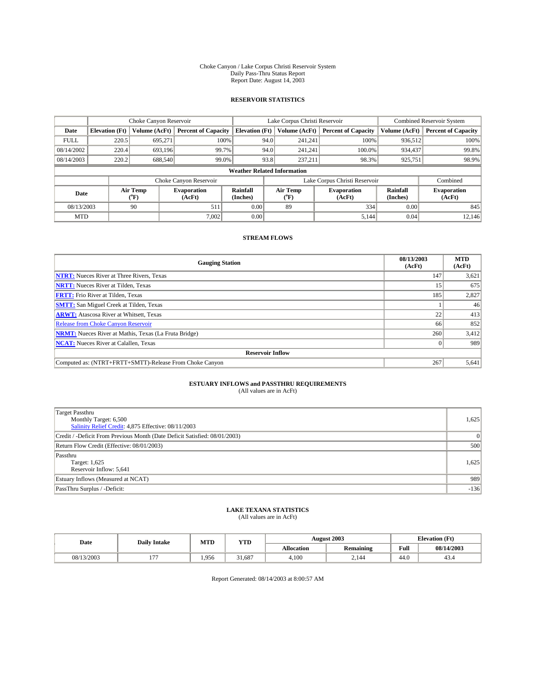#### Choke Canyon / Lake Corpus Christi Reservoir System Daily Pass-Thru Status Report Report Date: August 14, 2003

### **RESERVOIR STATISTICS**

|                                    | Choke Canyon Reservoir |                          |                              |                       | Lake Corpus Christi Reservoir |                  |                               |                      | <b>Combined Reservoir System</b> |  |
|------------------------------------|------------------------|--------------------------|------------------------------|-----------------------|-------------------------------|------------------|-------------------------------|----------------------|----------------------------------|--|
| Date                               | <b>Elevation</b> (Ft)  | Volume (AcFt)            | <b>Percent of Capacity</b>   | <b>Elevation</b> (Ft) |                               | Volume (AcFt)    | <b>Percent of Capacity</b>    | Volume (AcFt)        | <b>Percent of Capacity</b>       |  |
| <b>FULL</b>                        | 220.5                  | 695,271                  | 100%                         |                       | 94.0                          | 241,241          | 100%                          | 936,512              | 100%                             |  |
| 08/14/2002                         | 220.4                  | 693.196                  | 99.7%                        |                       | 94.0                          | 241.241          | 100.0%                        | 934,437              | 99.8%                            |  |
| 08/14/2003                         | 220.2                  | 688,540                  | 99.0%                        |                       | 93.8                          | 237.211          | 98.3%                         | 925,751              | 98.9%                            |  |
| <b>Weather Related Information</b> |                        |                          |                              |                       |                               |                  |                               |                      |                                  |  |
|                                    |                        |                          | Choke Canyon Reservoir       |                       |                               |                  | Lake Corpus Christi Reservoir |                      | Combined                         |  |
| Date                               |                        | Air Temp<br>$\rm ^{o}F)$ | <b>Evaporation</b><br>(AcFt) | Rainfall<br>(Inches)  |                               | Air Temp<br>("F) | <b>Evaporation</b><br>(AcFt)  | Rainfall<br>(Inches) | <b>Evaporation</b><br>(AcFt)     |  |
| 08/13/2003                         |                        | 90                       | 511                          | 0.00                  |                               | 89               | 334                           | 0.00                 | 845                              |  |
| <b>MTD</b>                         |                        |                          | 7,002                        | 0.00                  |                               |                  | 5,144                         | 0.04                 | 12.146                           |  |

### **STREAM FLOWS**

| <b>Gauging Station</b>                                       | 08/13/2003<br>(AcFt) | <b>MTD</b><br>(AcFt) |
|--------------------------------------------------------------|----------------------|----------------------|
| <b>NTRT:</b> Nueces River at Three Rivers, Texas             | 147                  | 3,621                |
| <b>NRTT:</b> Nueces River at Tilden, Texas                   | 15                   | 675                  |
| <b>FRTT:</b> Frio River at Tilden, Texas                     | 185                  | 2,827                |
| <b>SMTT:</b> San Miguel Creek at Tilden, Texas               |                      | 46                   |
| <b>ARWT:</b> Atascosa River at Whitsett, Texas               | 22                   | 413                  |
| Release from Choke Canyon Reservoir                          | 66                   | 852                  |
| <b>NRMT:</b> Nueces River at Mathis, Texas (La Fruta Bridge) | 260                  | 3,412                |
| <b>NCAT:</b> Nueces River at Calallen, Texas                 |                      | 989                  |
| <b>Reservoir Inflow</b>                                      |                      |                      |
| Computed as: (NTRT+FRTT+SMTT)-Release From Choke Canyon      | 267                  | 5,641                |

# **ESTUARY INFLOWS and PASSTHRU REQUIREMENTS**<br>(All values are in AcFt)

| Target Passthru<br>Monthly Target: 6,500<br>Salinity Relief Credit: 4,875 Effective: 08/11/2003 | 1,625    |
|-------------------------------------------------------------------------------------------------|----------|
| Credit / -Deficit From Previous Month (Date Deficit Satisfied: 08/01/2003)                      | $\Omega$ |
| Return Flow Credit (Effective: 08/01/2003)                                                      | 500      |
| Passthru<br>Target: 1,625<br>Reservoir Inflow: 5,641                                            | 1,625    |
| Estuary Inflows (Measured at NCAT)                                                              | 989      |
| PassThru Surplus / -Deficit:                                                                    | $-136$   |

# **LAKE TEXANA STATISTICS** (All values are in AcFt)

| Date       | <b>Daily Intake</b> | MTD   | <b>YTD</b> |                   | <b>August 2003</b> | <b>Elevation</b> (Ft) |            |
|------------|---------------------|-------|------------|-------------------|--------------------|-----------------------|------------|
|            |                     |       |            | <b>Allocation</b> | <b>Remaining</b>   | Full                  | 08/14/2003 |
| 08/13/2003 | $- - -$<br>$\cdot$  | 1.956 | 31.687     | 4,100             | 2.144              | $\sim$<br>-44.6       | 45.4       |

Report Generated: 08/14/2003 at 8:00:57 AM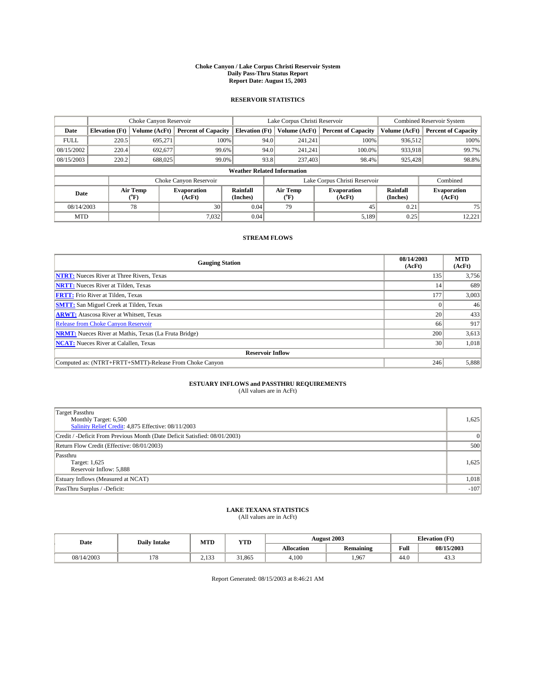#### **Choke Canyon / Lake Corpus Christi Reservoir System Daily Pass-Thru Status Report Report Date: August 15, 2003**

### **RESERVOIR STATISTICS**

|                                    | Choke Canyon Reservoir |                  |                              |                             | Lake Corpus Christi Reservoir |                  |                               |                      | <b>Combined Reservoir System</b> |  |
|------------------------------------|------------------------|------------------|------------------------------|-----------------------------|-------------------------------|------------------|-------------------------------|----------------------|----------------------------------|--|
| Date                               | <b>Elevation</b> (Ft)  | Volume (AcFt)    | <b>Percent of Capacity</b>   | <b>Elevation (Ft)</b>       |                               | Volume (AcFt)    | <b>Percent of Capacity</b>    | Volume (AcFt)        | <b>Percent of Capacity</b>       |  |
| <b>FULL</b>                        | 220.5                  | 695,271          | 100%                         |                             | 94.0                          | 241,241          | 100%                          | 936.512              | 100%                             |  |
| 08/15/2002                         | 220.4                  | 692,677          | 99.6%                        |                             | 94.0                          | 241.241          | $100.0\%$                     | 933,918              | 99.7%                            |  |
| 08/15/2003                         | 220.2                  | 688,025          | 99.0%                        |                             | 93.8                          | 237,403          | 98.4%                         | 925,428              | 98.8%                            |  |
| <b>Weather Related Information</b> |                        |                  |                              |                             |                               |                  |                               |                      |                                  |  |
|                                    |                        |                  | Choke Canyon Reservoir       |                             |                               |                  | Lake Corpus Christi Reservoir |                      | Combined                         |  |
| Date                               |                        | Air Temp<br>(°F) | <b>Evaporation</b><br>(AcFt) | <b>Rainfall</b><br>(Inches) |                               | Air Temp<br>("F) | <b>Evaporation</b><br>(AcFt)  | Rainfall<br>(Inches) | <b>Evaporation</b><br>(AcFt)     |  |
| 08/14/2003                         |                        | 78               | 30 <sub>1</sub>              | 0.04                        |                               | 79               | 45                            | 0.21                 | 75                               |  |
| <b>MTD</b>                         |                        |                  | 7,032                        | 0.04                        |                               |                  | 5,189                         | 0.25                 | 12,221                           |  |

### **STREAM FLOWS**

| <b>Gauging Station</b>                                       | 08/14/2003<br>(AcFt) | <b>MTD</b><br>(AcFt) |
|--------------------------------------------------------------|----------------------|----------------------|
| <b>NTRT:</b> Nueces River at Three Rivers, Texas             | 135                  | 3,756                |
| <b>NRTT:</b> Nueces River at Tilden, Texas                   | 14                   | 689                  |
| <b>FRTT:</b> Frio River at Tilden, Texas                     | 177                  | 3,003                |
| <b>SMTT:</b> San Miguel Creek at Tilden, Texas               |                      | 46                   |
| <b>ARWT:</b> Atascosa River at Whitsett, Texas               | 20 <sub>1</sub>      | 433                  |
| <b>Release from Choke Canyon Reservoir</b>                   | 66                   | 917                  |
| <b>NRMT:</b> Nueces River at Mathis, Texas (La Fruta Bridge) | 200                  | 3,613                |
| <b>NCAT:</b> Nueces River at Calallen, Texas                 | 30                   | 1,018                |
| <b>Reservoir Inflow</b>                                      |                      |                      |
| Computed as: (NTRT+FRTT+SMTT)-Release From Choke Canyon      | 246                  | 5,888                |

## **ESTUARY INFLOWS and PASSTHRU REQUIREMENTS**<br>(All values are in AcFt)

| Target Passthru<br>Monthly Target: 6,500<br>Salinity Relief Credit: 4,875 Effective: 08/11/2003 | 1,625  |
|-------------------------------------------------------------------------------------------------|--------|
| Credit / -Deficit From Previous Month (Date Deficit Satisfied: 08/01/2003)                      |        |
| Return Flow Credit (Effective: 08/01/2003)                                                      | 500    |
| Passthru<br>Target: 1,625<br>Reservoir Inflow: 5,888                                            | 1,625  |
| Estuary Inflows (Measured at NCAT)                                                              | 1,018  |
| PassThru Surplus / -Deficit:                                                                    | $-107$ |

# **LAKE TEXANA STATISTICS** (All values are in AcFt)

| Date       | <b>Daily Intake</b> | MTD               | YTD   |                   | <b>August 2003</b>     | <b>Elevation</b> (Ft) |                |
|------------|---------------------|-------------------|-------|-------------------|------------------------|-----------------------|----------------|
|            |                     |                   |       | <b>Allocation</b> | $\cdot$ .<br>Remaining | Full                  | 08/15/2003     |
| 08/14/2003 | 170<br>1/0          | 123<br>ن ل 1 م سک | 1.865 | 4,100             | .967                   | . .<br>44.U           | $\sim$<br>43.5 |

Report Generated: 08/15/2003 at 8:46:21 AM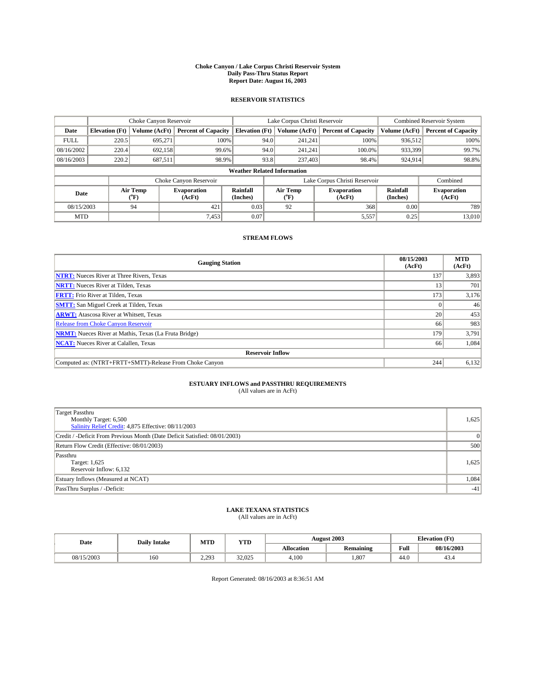#### **Choke Canyon / Lake Corpus Christi Reservoir System Daily Pass-Thru Status Report Report Date: August 16, 2003**

### **RESERVOIR STATISTICS**

|             | Choke Canyon Reservoir             |                          | Lake Corpus Christi Reservoir |                             |      |                  | Combined Reservoir System     |                      |                              |  |
|-------------|------------------------------------|--------------------------|-------------------------------|-----------------------------|------|------------------|-------------------------------|----------------------|------------------------------|--|
| Date        | <b>Elevation</b> (Ft)              | Volume (AcFt)            | <b>Percent of Capacity</b>    | <b>Elevation</b> (Ft)       |      | Volume (AcFt)    | <b>Percent of Capacity</b>    | Volume (AcFt)        | <b>Percent of Capacity</b>   |  |
| <b>FULL</b> | 220.5                              | 695.271                  |                               | 100%                        | 94.0 | 241,241          | 100%                          | 936.512              | 100%                         |  |
| 08/16/2002  | 220.4                              | 692.158                  | 99.6%                         |                             | 94.0 | 241,241          | $100.0\%$                     | 933,399              | 99.7%                        |  |
| 08/16/2003  | 220.2                              | 687,511                  | 98.9%                         |                             | 93.8 | 237,403          | 98.4%                         | 924,914              | 98.8%                        |  |
|             | <b>Weather Related Information</b> |                          |                               |                             |      |                  |                               |                      |                              |  |
|             |                                    |                          | Choke Canyon Reservoir        |                             |      |                  | Lake Corpus Christi Reservoir |                      | Combined                     |  |
| Date        |                                    | Air Temp<br>$\rm ^{6}F)$ | <b>Evaporation</b><br>(AcFt)  | <b>Rainfall</b><br>(Inches) |      | Air Temp<br>("F) | <b>Evaporation</b><br>(AcFt)  | Rainfall<br>(Inches) | <b>Evaporation</b><br>(AcFt) |  |
| 08/15/2003  |                                    | 94                       | 421                           | 0.03                        |      | 92               | 368                           | 0.00                 | 789                          |  |
| <b>MTD</b>  |                                    |                          | 7,453                         | 0.07                        |      |                  | 5,557                         | 0.25                 | 13,010                       |  |

### **STREAM FLOWS**

| <b>Gauging Station</b>                                       | 08/15/2003<br>(AcFt) | <b>MTD</b><br>(AcFt) |
|--------------------------------------------------------------|----------------------|----------------------|
| <b>NTRT:</b> Nueces River at Three Rivers, Texas             | 137                  | 3,893                |
| <b>NRTT:</b> Nueces River at Tilden, Texas                   | 13                   | 701                  |
| <b>FRTT:</b> Frio River at Tilden, Texas                     | 173                  | 3,176                |
| <b>SMTT:</b> San Miguel Creek at Tilden, Texas               |                      | 46                   |
| <b>ARWT:</b> Atascosa River at Whitsett, Texas               | 20                   | 453                  |
| <b>Release from Choke Canyon Reservoir</b>                   | 66                   | 983                  |
| <b>NRMT:</b> Nueces River at Mathis, Texas (La Fruta Bridge) | 179                  | 3,791                |
| <b>NCAT:</b> Nueces River at Calallen, Texas                 | 66                   | 1,084                |
| <b>Reservoir Inflow</b>                                      |                      |                      |
| Computed as: (NTRT+FRTT+SMTT)-Release From Choke Canyon      | 244                  | 6,132                |

## **ESTUARY INFLOWS and PASSTHRU REQUIREMENTS**<br>(All values are in AcFt)

| Target Passthru<br>Monthly Target: 6,500<br>Salinity Relief Credit: 4,875 Effective: 08/11/2003 | 1,625 |
|-------------------------------------------------------------------------------------------------|-------|
| Credit / -Deficit From Previous Month (Date Deficit Satisfied: 08/01/2003)                      |       |
| Return Flow Credit (Effective: 08/01/2003)                                                      | 500   |
| Passthru<br>Target: 1,625<br>Reservoir Inflow: 6,132                                            | 1,625 |
| Estuary Inflows (Measured at NCAT)                                                              | 1,084 |
| PassThru Surplus / -Deficit:                                                                    | $-41$ |

# **LAKE TEXANA STATISTICS** (All values are in AcFt)

| Date       | <b>Daily Intake</b> | MTD             | <b>YTD</b>          |                   | <b>August 2003</b> | <b>Elevation</b> (Ft) |            |
|------------|---------------------|-----------------|---------------------|-------------------|--------------------|-----------------------|------------|
|            |                     |                 |                     | <b>Allocation</b> | Remaining          | Full                  | 08/16/2003 |
| 08/15/2003 | 160                 | 2 רמ<br>ر رے دے | 22.025<br>ل کال کال | 4,100             | 1,807              | 44.0                  | 45.4       |

Report Generated: 08/16/2003 at 8:36:51 AM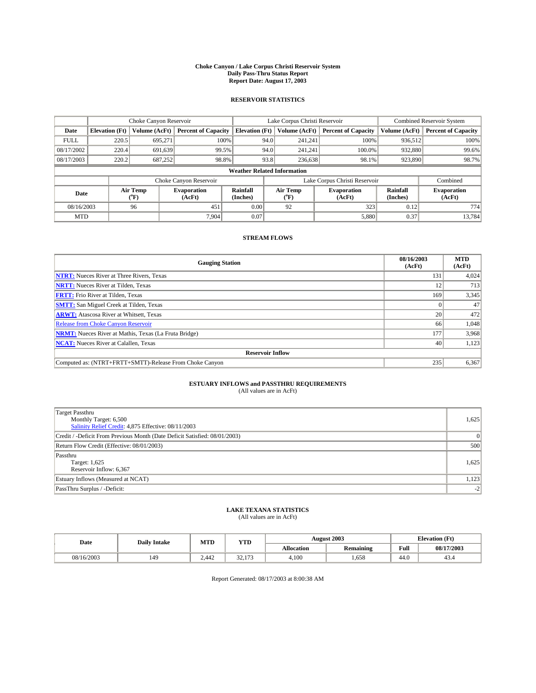#### **Choke Canyon / Lake Corpus Christi Reservoir System Daily Pass-Thru Status Report Report Date: August 17, 2003**

### **RESERVOIR STATISTICS**

|                                    | Choke Canyon Reservoir |                  | Lake Corpus Christi Reservoir |                             |      |                  | <b>Combined Reservoir System</b> |                      |                              |
|------------------------------------|------------------------|------------------|-------------------------------|-----------------------------|------|------------------|----------------------------------|----------------------|------------------------------|
| Date                               | <b>Elevation</b> (Ft)  | Volume (AcFt)    | <b>Percent of Capacity</b>    | <b>Elevation (Ft)</b>       |      | Volume (AcFt)    | <b>Percent of Capacity</b>       | Volume (AcFt)        | <b>Percent of Capacity</b>   |
| <b>FULL</b>                        | 220.5                  | 695,271          | 100%                          |                             | 94.0 | 241,241          | 100%                             | 936.512              | 100%                         |
| 08/17/2002                         | 220.4                  | 691.639          | 99.5%                         |                             | 94.0 | 241.241          | $100.0\%$                        | 932,880              | 99.6%                        |
| 08/17/2003                         | 220.2                  | 687,252          | 98.8%                         |                             | 93.8 | 236,638          | 98.1%                            | 923,890              | 98.7%                        |
| <b>Weather Related Information</b> |                        |                  |                               |                             |      |                  |                                  |                      |                              |
|                                    |                        |                  | Choke Canyon Reservoir        |                             |      |                  | Lake Corpus Christi Reservoir    |                      | Combined                     |
| Date                               |                        | Air Temp<br>(°F) | <b>Evaporation</b><br>(AcFt)  | <b>Rainfall</b><br>(Inches) |      | Air Temp<br>("F) | <b>Evaporation</b><br>(AcFt)     | Rainfall<br>(Inches) | <b>Evaporation</b><br>(AcFt) |
| 08/16/2003                         |                        | 96               | 451                           | 0.00                        |      | 92               | 323                              | 0.12                 | 774                          |
| <b>MTD</b>                         |                        |                  | 7.904                         | 0.07                        |      |                  | 5,880                            | 0.37                 | 13,784                       |

### **STREAM FLOWS**

| <b>Gauging Station</b>                                       | 08/16/2003<br>(AcFt) | <b>MTD</b><br>(AcFt) |
|--------------------------------------------------------------|----------------------|----------------------|
| <b>NTRT:</b> Nueces River at Three Rivers, Texas             | 131                  | 4,024                |
| <b>NRTT:</b> Nueces River at Tilden, Texas                   | 12                   | 713                  |
| <b>FRTT:</b> Frio River at Tilden, Texas                     | 169                  | 3,345                |
| <b>SMTT:</b> San Miguel Creek at Tilden, Texas               |                      | 47                   |
| <b>ARWT:</b> Atascosa River at Whitsett, Texas               | 20 <sub>1</sub>      | 472                  |
| <b>Release from Choke Canyon Reservoir</b>                   | 66                   | 1,048                |
| <b>NRMT:</b> Nueces River at Mathis, Texas (La Fruta Bridge) | 177                  | 3,968                |
| <b>NCAT:</b> Nueces River at Calallen, Texas                 | 40                   | 1,123                |
| <b>Reservoir Inflow</b>                                      |                      |                      |
| Computed as: (NTRT+FRTT+SMTT)-Release From Choke Canyon      | 235                  | 6,367                |

# **ESTUARY INFLOWS and PASSTHRU REQUIREMENTS**<br>(All values are in AcFt)

| Target Passthru<br>Monthly Target: 6,500<br>Salinity Relief Credit: 4,875 Effective: 08/11/2003 | 1,625 |
|-------------------------------------------------------------------------------------------------|-------|
| Credit / -Deficit From Previous Month (Date Deficit Satisfied: 08/01/2003)                      |       |
| Return Flow Credit (Effective: 08/01/2003)                                                      | 500   |
| Passthru<br>Target: 1,625<br>Reservoir Inflow: 6,367                                            | 1,625 |
| Estuary Inflows (Measured at NCAT)                                                              | 1,123 |
| PassThru Surplus / -Deficit:                                                                    | $-2$  |

# **LAKE TEXANA STATISTICS** (All values are in AcFt)

| Date       | <b>Daily Intake</b> | MTD   | <b>YTD</b>                  |                   | <b>August 2003</b> | <b>Elevation</b> (Ft) |            |
|------------|---------------------|-------|-----------------------------|-------------------|--------------------|-----------------------|------------|
|            |                     |       |                             | <b>Allocation</b> | <b>Remaining</b>   | Full                  | 08/17/2003 |
| 08/16/2003 | 149                 | 2.442 | 22<br>172<br><i>JL</i> .11J | 4,100             | .658               | $\sim$<br>44.0        | 45.4       |

Report Generated: 08/17/2003 at 8:00:38 AM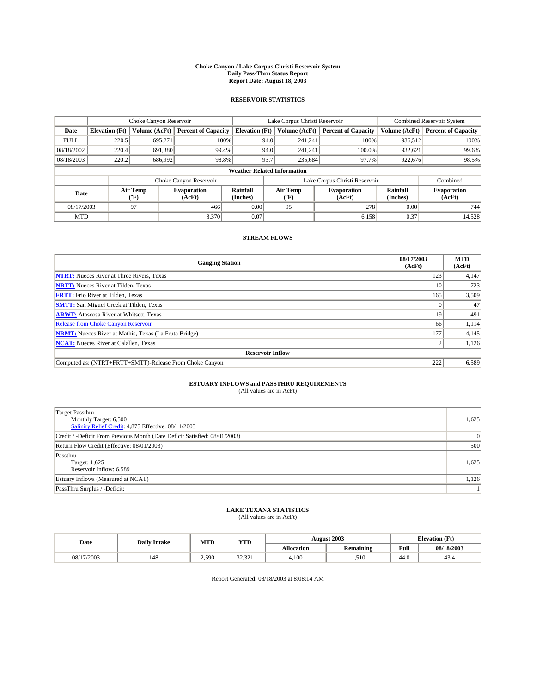#### **Choke Canyon / Lake Corpus Christi Reservoir System Daily Pass-Thru Status Report Report Date: August 18, 2003**

### **RESERVOIR STATISTICS**

|             | Choke Canyon Reservoir             |                  | Lake Corpus Christi Reservoir |                       |      |                  | <b>Combined Reservoir System</b> |                      |                              |  |
|-------------|------------------------------------|------------------|-------------------------------|-----------------------|------|------------------|----------------------------------|----------------------|------------------------------|--|
| Date        | <b>Elevation</b> (Ft)              | Volume (AcFt)    | <b>Percent of Capacity</b>    | <b>Elevation (Ft)</b> |      | Volume (AcFt)    | <b>Percent of Capacity</b>       | Volume (AcFt)        | <b>Percent of Capacity</b>   |  |
| <b>FULL</b> | 220.5                              | 695,271          |                               | 100%                  | 94.0 | 241,241          | 100%                             | 936.512              | 100%                         |  |
| 08/18/2002  | 220.4                              | 691,380          | 99.4%                         |                       | 94.0 | 241.241          | $100.0\%$                        | 932,621              | 99.6%                        |  |
| 08/18/2003  | 220.2                              | 686,992          | 98.8%                         |                       | 93.7 | 235,684          | 97.7%                            | 922,676              | 98.5%                        |  |
|             | <b>Weather Related Information</b> |                  |                               |                       |      |                  |                                  |                      |                              |  |
|             |                                    |                  | Choke Canyon Reservoir        |                       |      |                  | Lake Corpus Christi Reservoir    |                      | Combined                     |  |
| Date        |                                    | Air Temp<br>(°F) | <b>Evaporation</b><br>(AcFt)  | Rainfall<br>(Inches)  |      | Air Temp<br>("F) | <b>Evaporation</b><br>(AcFt)     | Rainfall<br>(Inches) | <b>Evaporation</b><br>(AcFt) |  |
| 08/17/2003  |                                    | 97               | 466                           | 0.00                  |      | 95               | 278                              | 0.00                 | 744                          |  |
| <b>MTD</b>  |                                    |                  | 8,370                         | 0.07                  |      |                  | 6,158                            | 0.37                 | 14,528                       |  |

### **STREAM FLOWS**

| <b>Gauging Station</b>                                       | 08/17/2003<br>(AcFt) | <b>MTD</b><br>(AcFt) |
|--------------------------------------------------------------|----------------------|----------------------|
| <b>NTRT:</b> Nueces River at Three Rivers, Texas             | 123                  | 4,147                |
| <b>NRTT:</b> Nueces River at Tilden, Texas                   | 10                   | 723                  |
| <b>FRTT:</b> Frio River at Tilden, Texas                     | 165                  | 3,509                |
| <b>SMTT:</b> San Miguel Creek at Tilden, Texas               |                      | 47                   |
| <b>ARWT:</b> Atascosa River at Whitsett, Texas               | 19                   | 491                  |
| <b>Release from Choke Canyon Reservoir</b>                   | 66                   | 1,114                |
| <b>NRMT:</b> Nueces River at Mathis, Texas (La Fruta Bridge) | 177                  | 4,145                |
| <b>NCAT:</b> Nueces River at Calallen, Texas                 |                      | 1,126                |
| <b>Reservoir Inflow</b>                                      |                      |                      |
| Computed as: (NTRT+FRTT+SMTT)-Release From Choke Canyon      | 222                  | 6,589                |

# **ESTUARY INFLOWS and PASSTHRU REQUIREMENTS**<br>(All values are in AcFt)

| <b>Target Passthru</b><br>Monthly Target: 6,500<br>Salinity Relief Credit: 4,875 Effective: 08/11/2003 | 1,625 |
|--------------------------------------------------------------------------------------------------------|-------|
| Credit / -Deficit From Previous Month (Date Deficit Satisfied: 08/01/2003)                             |       |
| Return Flow Credit (Effective: 08/01/2003)                                                             | 500   |
| Passthru<br>Target: 1,625<br>Reservoir Inflow: 6,589                                                   | 1,625 |
| Estuary Inflows (Measured at NCAT)                                                                     | 1,126 |
| PassThru Surplus / -Deficit:                                                                           | 11    |

# **LAKE TEXANA STATISTICS** (All values are in AcFt)

| Date       | <b>Daily Intake</b> | MTD   | <b>YTD</b>                   |                   | <b>August 2003</b> | <b>Elevation</b> (Ft) |            |
|------------|---------------------|-------|------------------------------|-------------------|--------------------|-----------------------|------------|
|            |                     |       |                              | <b>Allocation</b> | <b>Remaining</b>   | Full                  | 08/18/2003 |
| 08/17/2003 | 148                 | 2,590 | $\sim$<br>$\sim$<br>لەستەر ب | 4,100             | 1.510              | $\sim$<br>44.V        | 45.4       |

Report Generated: 08/18/2003 at 8:08:14 AM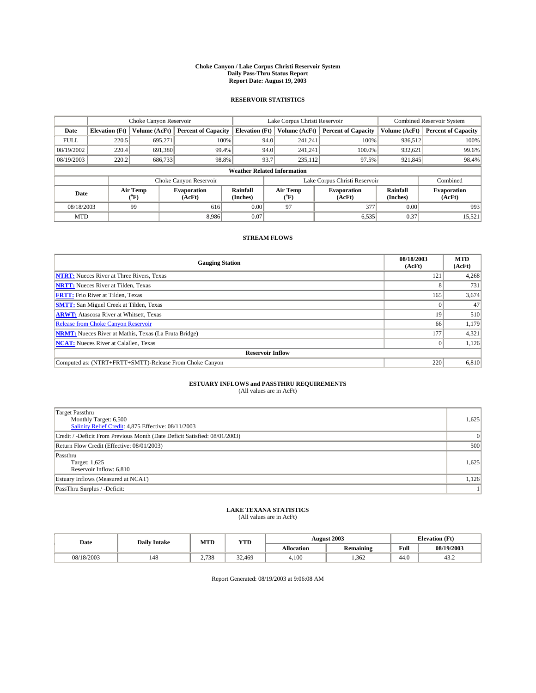#### **Choke Canyon / Lake Corpus Christi Reservoir System Daily Pass-Thru Status Report Report Date: August 19, 2003**

### **RESERVOIR STATISTICS**

|                                    | Choke Canyon Reservoir |                  |                              |                       | Lake Corpus Christi Reservoir |                  |                               |                      | <b>Combined Reservoir System</b> |  |
|------------------------------------|------------------------|------------------|------------------------------|-----------------------|-------------------------------|------------------|-------------------------------|----------------------|----------------------------------|--|
| Date                               | <b>Elevation</b> (Ft)  | Volume (AcFt)    | <b>Percent of Capacity</b>   | <b>Elevation (Ft)</b> |                               | Volume (AcFt)    | <b>Percent of Capacity</b>    | Volume (AcFt)        | <b>Percent of Capacity</b>       |  |
| <b>FULL</b>                        | 220.5                  | 695,271          | 100%                         |                       | 94.0                          | 241,241          | 100%                          | 936.512              | 100%                             |  |
| 08/19/2002                         | 220.4                  | 691,380          | 99.4%                        |                       | 94.0                          | 241.241          | $100.0\%$                     | 932,621              | 99.6%                            |  |
| 08/19/2003                         | 220.2                  | 686,733          | 98.8%                        |                       | 93.7                          | 235,112          | 97.5%                         | 921,845              | 98.4%                            |  |
| <b>Weather Related Information</b> |                        |                  |                              |                       |                               |                  |                               |                      |                                  |  |
|                                    |                        |                  | Choke Canyon Reservoir       |                       |                               |                  | Lake Corpus Christi Reservoir |                      | Combined                         |  |
| Date                               |                        | Air Temp<br>(°F) | <b>Evaporation</b><br>(AcFt) | Rainfall<br>(Inches)  |                               | Air Temp<br>("F) | <b>Evaporation</b><br>(AcFt)  | Rainfall<br>(Inches) | <b>Evaporation</b><br>(AcFt)     |  |
| 08/18/2003                         |                        | 99               | 616                          | 0.00                  |                               | 97               | 377                           | 0.00                 | 993                              |  |
| <b>MTD</b>                         |                        |                  | 8.986                        | 0.07                  |                               |                  | 6,535                         | 0.37                 | 15,521                           |  |

### **STREAM FLOWS**

| <b>Gauging Station</b>                                       | 08/18/2003<br>(AcFt) | <b>MTD</b><br>(AcFt) |
|--------------------------------------------------------------|----------------------|----------------------|
| <b>NTRT:</b> Nueces River at Three Rivers, Texas             | 121                  | 4,268                |
| <b>NRTT:</b> Nueces River at Tilden, Texas                   |                      | 731                  |
| <b>FRTT:</b> Frio River at Tilden, Texas                     | 165                  | 3,674                |
| <b>SMTT:</b> San Miguel Creek at Tilden, Texas               |                      | 47                   |
| <b>ARWT:</b> Atascosa River at Whitsett, Texas               | 19                   | 510                  |
| Release from Choke Canyon Reservoir                          | 66                   | 1,179                |
| <b>NRMT:</b> Nueces River at Mathis, Texas (La Fruta Bridge) | 177                  | 4,321                |
| <b>NCAT:</b> Nueces River at Calallen, Texas                 |                      | 1,126                |
| <b>Reservoir Inflow</b>                                      |                      |                      |
| Computed as: (NTRT+FRTT+SMTT)-Release From Choke Canyon      | 220                  | 6,810                |

## **ESTUARY INFLOWS and PASSTHRU REQUIREMENTS**<br>(All values are in AcFt)

| <b>Target Passthru</b>                                                     |       |
|----------------------------------------------------------------------------|-------|
| Monthly Target: 6,500                                                      | 1,625 |
| Salinity Relief Credit: 4,875 Effective: 08/11/2003                        |       |
| Credit / -Deficit From Previous Month (Date Deficit Satisfied: 08/01/2003) |       |
| Return Flow Credit (Effective: 08/01/2003)                                 | 500   |
| Passthru                                                                   |       |
| Target: 1,625                                                              | 1,625 |
| Reservoir Inflow: 6,810                                                    |       |
| Estuary Inflows (Measured at NCAT)                                         | 1,126 |
| PassThru Surplus / -Deficit:                                               | 11    |

# **LAKE TEXANA STATISTICS** (All values are in AcFt)

| Date       | <b>Daily Intake</b> | MTD   | <b>YTD</b>   |                   | <b>August 2003</b> |                | <b>Elevation</b> (Ft) |  |
|------------|---------------------|-------|--------------|-------------------|--------------------|----------------|-----------------------|--|
|            |                     |       |              | <b>Allocation</b> | <b>Remaining</b>   | Full           | 08/19/2003            |  |
| 08/18/2003 | 148                 | 2.738 | 22<br>32.469 | 4,100             | .362               | $\sim$<br>44.U | 45.4                  |  |

Report Generated: 08/19/2003 at 9:06:08 AM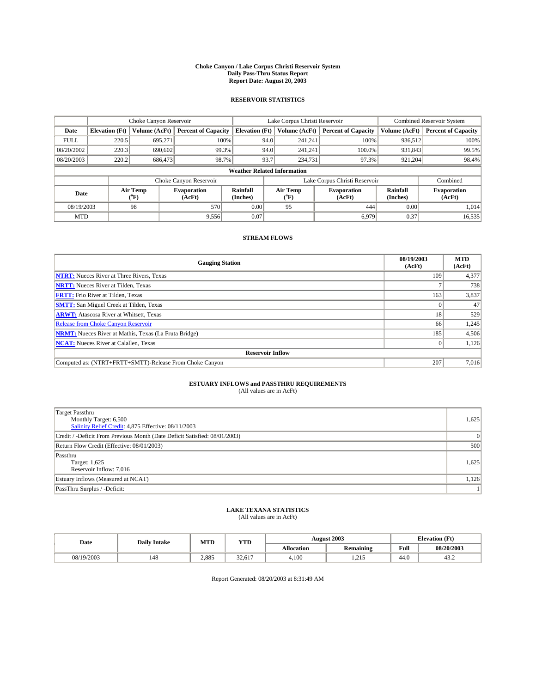#### **Choke Canyon / Lake Corpus Christi Reservoir System Daily Pass-Thru Status Report Report Date: August 20, 2003**

### **RESERVOIR STATISTICS**

|                                    | Choke Canyon Reservoir |                  |                              |                       | Lake Corpus Christi Reservoir |                  |                               |                      | <b>Combined Reservoir System</b> |  |  |
|------------------------------------|------------------------|------------------|------------------------------|-----------------------|-------------------------------|------------------|-------------------------------|----------------------|----------------------------------|--|--|
| Date                               | <b>Elevation</b> (Ft)  | Volume (AcFt)    | <b>Percent of Capacity</b>   | <b>Elevation (Ft)</b> |                               | Volume (AcFt)    | <b>Percent of Capacity</b>    | Volume (AcFt)        | <b>Percent of Capacity</b>       |  |  |
| <b>FULL</b>                        | 220.5                  | 695,271          |                              | 100%                  | 94.0                          | 241,241          | 100%                          | 936.512              | 100%                             |  |  |
| 08/20/2002                         | 220.3                  | 690,602          | 99.3%                        |                       | 94.0                          | 241.241          | $100.0\%$                     | 931,843              | 99.5%                            |  |  |
| 08/20/2003                         | 220.2                  | 686,473          | 98.7%                        |                       | 93.7                          | 234,731          | 97.3%                         | 921,204              | 98.4%                            |  |  |
| <b>Weather Related Information</b> |                        |                  |                              |                       |                               |                  |                               |                      |                                  |  |  |
|                                    |                        |                  | Choke Canyon Reservoir       |                       |                               |                  | Lake Corpus Christi Reservoir |                      | Combined                         |  |  |
| Date                               |                        | Air Temp<br>(°F) | <b>Evaporation</b><br>(AcFt) | Rainfall<br>(Inches)  |                               | Air Temp<br>("F) | <b>Evaporation</b><br>(AcFt)  | Rainfall<br>(Inches) | <b>Evaporation</b><br>(AcFt)     |  |  |
| 08/19/2003                         |                        | 98               | 570                          | 0.00                  |                               | 95               | 444                           | 0.00                 | 1.014                            |  |  |
| <b>MTD</b>                         |                        |                  | 9,556                        | 0.07                  |                               |                  | 6.979                         | 0.37                 | 16,535                           |  |  |

### **STREAM FLOWS**

| <b>Gauging Station</b>                                       | 08/19/2003<br>(AcFt) | <b>MTD</b><br>(AcFt) |
|--------------------------------------------------------------|----------------------|----------------------|
| <b>NTRT:</b> Nueces River at Three Rivers, Texas             | 109                  | 4,377                |
| <b>NRTT:</b> Nueces River at Tilden, Texas                   |                      | 738                  |
| <b>FRTT:</b> Frio River at Tilden, Texas                     | 163                  | 3,837                |
| <b>SMTT:</b> San Miguel Creek at Tilden, Texas               |                      | 47                   |
| <b>ARWT:</b> Atascosa River at Whitsett, Texas               | 18                   | 529                  |
| <b>Release from Choke Canyon Reservoir</b>                   | 66                   | 1,245                |
| <b>NRMT:</b> Nueces River at Mathis, Texas (La Fruta Bridge) | 185                  | 4,506                |
| <b>NCAT:</b> Nueces River at Calallen, Texas                 |                      | 1,126                |
| <b>Reservoir Inflow</b>                                      |                      |                      |
| Computed as: (NTRT+FRTT+SMTT)-Release From Choke Canyon      | 207                  | 7,016                |

# **ESTUARY INFLOWS and PASSTHRU REQUIREMENTS**<br>(All values are in AcFt)

| Target Passthru<br>Monthly Target: 6,500<br>Salinity Relief Credit: 4,875 Effective: 08/11/2003 | 1,625 |
|-------------------------------------------------------------------------------------------------|-------|
| Credit / -Deficit From Previous Month (Date Deficit Satisfied: 08/01/2003)                      |       |
| Return Flow Credit (Effective: 08/01/2003)                                                      | 500   |
| Passthru<br>Target: 1,625<br>Reservoir Inflow: 7,016                                            | 1,625 |
| Estuary Inflows (Measured at NCAT)                                                              | 1,126 |
| PassThru Surplus / -Deficit:                                                                    | 11    |

# **LAKE TEXANA STATISTICS** (All values are in AcFt)

| Date       | <b>Daily Intake</b> | MTD   | YTD    |                   | <b>August 2003</b> | <b>Elevation</b> (Ft) |            |
|------------|---------------------|-------|--------|-------------------|--------------------|-----------------------|------------|
|            |                     |       |        | <b>Allocation</b> | <b>Remaining</b>   | Full                  | 08/20/2003 |
| 08/19/2003 | 148                 | 2.885 | 32.617 | 4,100             | 215<br>ر د سه د    | $\sim$<br>44.U        | 43.2       |

Report Generated: 08/20/2003 at 8:31:49 AM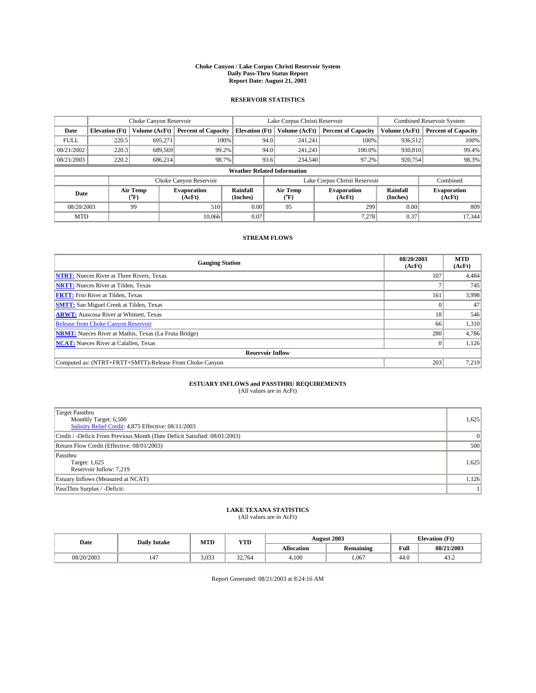#### **Choke Canyon / Lake Corpus Christi Reservoir System Daily Pass-Thru Status Report Report Date: August 21, 2003**

### **RESERVOIR STATISTICS**

|             | Choke Canyon Reservoir             |                             |                              |                             | Lake Corpus Christi Reservoir |                  |                               |                      | <b>Combined Reservoir System</b> |  |
|-------------|------------------------------------|-----------------------------|------------------------------|-----------------------------|-------------------------------|------------------|-------------------------------|----------------------|----------------------------------|--|
| Date        | <b>Elevation</b> (Ft)              | Volume (AcFt)               | <b>Percent of Capacity</b>   | <b>Elevation</b> (Ft)       |                               | Volume (AcFt)    | <b>Percent of Capacity</b>    | Volume (AcFt)        | <b>Percent of Capacity</b>       |  |
| <b>FULL</b> | 220.5                              | 695,271                     |                              | 100%                        | 94.0                          | 241,241          | 100%                          | 936.512              | 100%                             |  |
| 08/21/2002  | 220.3                              | 689.569                     |                              | 99.2%                       | 94.0                          | 241.241          | $100.0\%$                     | 930,810              | 99.4%                            |  |
| 08/21/2003  | 220.2                              | 686,214                     |                              | 98.7%                       | 93.6                          | 234,540          | 97.2%                         | 920,754              | 98.3%                            |  |
|             | <b>Weather Related Information</b> |                             |                              |                             |                               |                  |                               |                      |                                  |  |
|             |                                    |                             | Choke Canyon Reservoir       |                             |                               |                  | Lake Corpus Christi Reservoir |                      | Combined                         |  |
| Date        |                                    | Air Temp<br>${}^{\circ}$ F) | <b>Evaporation</b><br>(AcFt) | <b>Rainfall</b><br>(Inches) |                               | Air Temp<br>("F) | <b>Evaporation</b><br>(AcFt)  | Rainfall<br>(Inches) | <b>Evaporation</b><br>(AcFt)     |  |
| 08/20/2003  |                                    | 99                          | 510                          | 0.00                        |                               | 95               | 299                           | 0.00                 | 809                              |  |
| <b>MTD</b>  |                                    |                             | 10.066                       | 0.07                        |                               |                  | 7,278                         | 0.37                 | 17.344                           |  |

### **STREAM FLOWS**

| <b>Gauging Station</b>                                       | 08/20/2003<br>(AcFt) | <b>MTD</b><br>(AcFt) |
|--------------------------------------------------------------|----------------------|----------------------|
| <b>NTRT:</b> Nueces River at Three Rivers, Texas             | 107                  | 4,484                |
| <b>NRTT:</b> Nueces River at Tilden, Texas                   |                      | 745                  |
| <b>FRTT:</b> Frio River at Tilden, Texas                     | 161                  | 3,998                |
| <b>SMTT:</b> San Miguel Creek at Tilden, Texas               |                      | 47                   |
| <b>ARWT:</b> Atascosa River at Whitsett, Texas               | 18                   | 546                  |
| <b>Release from Choke Canyon Reservoir</b>                   | 66                   | 1,310                |
| <b>NRMT:</b> Nueces River at Mathis, Texas (La Fruta Bridge) | 280                  | 4,786                |
| <b>NCAT:</b> Nueces River at Calallen, Texas                 |                      | 1,126                |
| <b>Reservoir Inflow</b>                                      |                      |                      |
| Computed as: (NTRT+FRTT+SMTT)-Release From Choke Canyon      | 203                  | 7,219                |

# **ESTUARY INFLOWS and PASSTHRU REQUIREMENTS**<br>(All values are in AcFt)

| <b>Target Passthru</b><br>Monthly Target: 6,500<br>Salinity Relief Credit: 4,875 Effective: 08/11/2003 | 1,625 |
|--------------------------------------------------------------------------------------------------------|-------|
| Credit / -Deficit From Previous Month (Date Deficit Satisfied: 08/01/2003)                             |       |
| Return Flow Credit (Effective: 08/01/2003)                                                             | 500   |
| Passthru<br>Target: 1,625<br>Reservoir Inflow: 7,219                                                   | 1,625 |
| Estuary Inflows (Measured at NCAT)                                                                     | 1,126 |
| PassThru Surplus / -Deficit:                                                                           | 11    |

# **LAKE TEXANA STATISTICS** (All values are in AcFt)

| Date       | <b>Daily Intake</b>            | MTD   | YTD    |                   | <b>August 2003</b>            | <b>Elevation</b> (Ft) |            |
|------------|--------------------------------|-------|--------|-------------------|-------------------------------|-----------------------|------------|
|            |                                |       |        | <b>Allocation</b> | $\cdot$ .<br><b>Remaining</b> | Full                  | 08/21/2003 |
| 08/20/2003 | $\overline{\phantom{a}}$<br>14 | 3.033 | 32.764 | 4,100             | .067                          | $\sim$<br>44.U        | 43.2       |

Report Generated: 08/21/2003 at 8:24:16 AM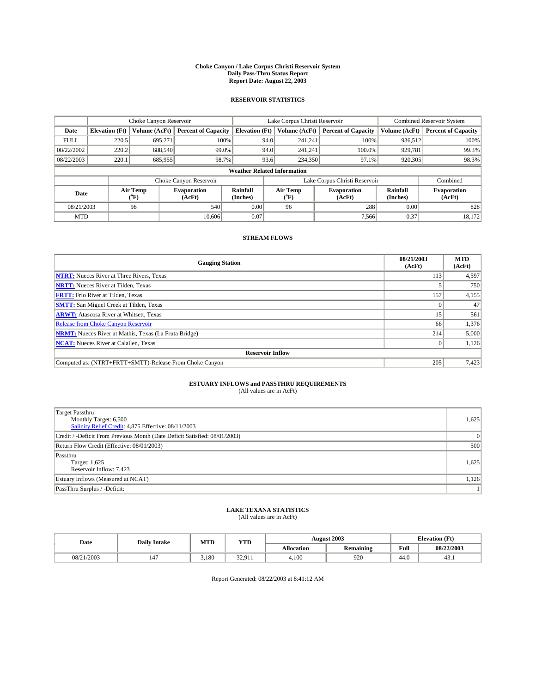#### **Choke Canyon / Lake Corpus Christi Reservoir System Daily Pass-Thru Status Report Report Date: August 22, 2003**

### **RESERVOIR STATISTICS**

|                                    | Choke Canyon Reservoir |                             |                              |                             | Lake Corpus Christi Reservoir |                  |                               |                      | <b>Combined Reservoir System</b> |  |  |
|------------------------------------|------------------------|-----------------------------|------------------------------|-----------------------------|-------------------------------|------------------|-------------------------------|----------------------|----------------------------------|--|--|
| Date                               | <b>Elevation (Ft)</b>  | Volume (AcFt)               | <b>Percent of Capacity</b>   | <b>Elevation</b> (Ft)       |                               | Volume (AcFt)    | <b>Percent of Capacity</b>    | Volume (AcFt)        | <b>Percent of Capacity</b>       |  |  |
| <b>FULL</b>                        | 220.5                  | 695,271                     |                              | 100%                        | 94.0                          | 241,241          | 100%                          | 936.512              | 100%                             |  |  |
| 08/22/2002                         | 220.2                  | 688.540                     |                              | $99.0\%$                    | 94.0                          | 241.241          | $100.0\%$                     | 929,781              | 99.3%                            |  |  |
| 08/22/2003                         | 220.1                  | 685,955                     |                              | 98.7%                       | 93.6                          | 234,350          | 97.1%                         | 920,305              | 98.3%                            |  |  |
| <b>Weather Related Information</b> |                        |                             |                              |                             |                               |                  |                               |                      |                                  |  |  |
|                                    |                        |                             | Choke Canyon Reservoir       |                             |                               |                  | Lake Corpus Christi Reservoir |                      | Combined                         |  |  |
| Date                               |                        | Air Temp<br>${}^{\circ}$ F) | <b>Evaporation</b><br>(AcFt) | <b>Rainfall</b><br>(Inches) |                               | Air Temp<br>("F) | <b>Evaporation</b><br>(AcFt)  | Rainfall<br>(Inches) | <b>Evaporation</b><br>(AcFt)     |  |  |
| 08/21/2003                         |                        | 98                          | 540                          | 0.00                        |                               | 96               | 288                           | 0.00                 | 828                              |  |  |
| <b>MTD</b>                         |                        |                             | 10.606                       | 0.07                        |                               |                  | 7.566                         | 0.37                 | 18,172                           |  |  |

### **STREAM FLOWS**

| <b>Gauging Station</b>                                       | 08/21/2003<br>(AcFt) | <b>MTD</b><br>(AcFt) |
|--------------------------------------------------------------|----------------------|----------------------|
| <b>NTRT:</b> Nueces River at Three Rivers, Texas             | 113                  | 4,597                |
| <b>NRTT:</b> Nueces River at Tilden, Texas                   |                      | 750                  |
| <b>FRTT:</b> Frio River at Tilden, Texas                     | 157                  | 4,155                |
| <b>SMTT:</b> San Miguel Creek at Tilden, Texas               |                      | 47                   |
| <b>ARWT:</b> Atascosa River at Whitsett, Texas               | 15                   | 561                  |
| <b>Release from Choke Canyon Reservoir</b>                   | 66                   | 1,376                |
| <b>NRMT:</b> Nueces River at Mathis, Texas (La Fruta Bridge) | 214                  | 5,000                |
| <b>NCAT:</b> Nueces River at Calallen, Texas                 |                      | 1,126                |
| <b>Reservoir Inflow</b>                                      |                      |                      |
| Computed as: (NTRT+FRTT+SMTT)-Release From Choke Canyon      | 205                  | 7,423                |

## **ESTUARY INFLOWS and PASSTHRU REQUIREMENTS**<br>(All values are in AcFt)

| Target Passthru<br>Monthly Target: 6,500<br>Salinity Relief Credit: 4,875 Effective: 08/11/2003 | 1,625 |
|-------------------------------------------------------------------------------------------------|-------|
| Credit / -Deficit From Previous Month (Date Deficit Satisfied: 08/01/2003)                      |       |
| Return Flow Credit (Effective: 08/01/2003)                                                      | 500   |
| Passthru<br>Target: 1,625<br>Reservoir Inflow: 7,423                                            | 1,625 |
| Estuary Inflows (Measured at NCAT)                                                              | 1,126 |
| PassThru Surplus / -Deficit:                                                                    | 11    |

# **LAKE TEXANA STATISTICS** (All values are in AcFt)

| Date       | <b>Daily Intake</b>            | MTD   | <b>YTD</b>    |                   | <b>August 2003</b> | <b>Elevation</b> (Ft) |            |
|------------|--------------------------------|-------|---------------|-------------------|--------------------|-----------------------|------------|
|            |                                |       |               | <b>Allocation</b> | Remaining          | Full                  | 08/22/2003 |
| 08/21/2003 | $\overline{\phantom{0}}$<br>14 | ۔ 180 | 3201<br>----- | 4,100             | 920                | $\sim$<br>44.U        | 43.1       |

Report Generated: 08/22/2003 at 8:41:12 AM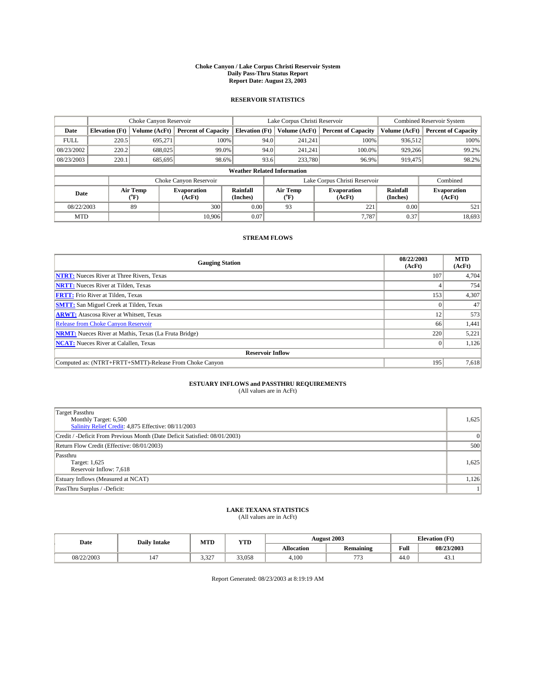#### **Choke Canyon / Lake Corpus Christi Reservoir System Daily Pass-Thru Status Report Report Date: August 23, 2003**

### **RESERVOIR STATISTICS**

|                                    | Choke Canyon Reservoir |                  |                              |                       | Lake Corpus Christi Reservoir |                  |                               |                      | <b>Combined Reservoir System</b> |  |  |
|------------------------------------|------------------------|------------------|------------------------------|-----------------------|-------------------------------|------------------|-------------------------------|----------------------|----------------------------------|--|--|
| Date                               | <b>Elevation</b> (Ft)  | Volume (AcFt)    | <b>Percent of Capacity</b>   | <b>Elevation (Ft)</b> |                               | Volume (AcFt)    | <b>Percent of Capacity</b>    | Volume (AcFt)        | <b>Percent of Capacity</b>       |  |  |
| <b>FULL</b>                        | 220.5                  | 695,271          | 100%                         |                       | 94.0                          | 241,241          | 100%                          | 936.512              | 100%                             |  |  |
| 08/23/2002                         | 220.2                  | 688,025          | 99.0%                        |                       | 94.0                          | 241.241          | $100.0\%$                     | 929.266              | 99.2%                            |  |  |
| 08/23/2003                         | 220.1                  | 685,695          | 98.6%                        |                       | 93.6                          | 233,780          | 96.9%                         | 919,475              | 98.2%                            |  |  |
| <b>Weather Related Information</b> |                        |                  |                              |                       |                               |                  |                               |                      |                                  |  |  |
|                                    |                        |                  | Choke Canyon Reservoir       |                       |                               |                  | Lake Corpus Christi Reservoir |                      | Combined                         |  |  |
| Date                               |                        | Air Temp<br>(°F) | <b>Evaporation</b><br>(AcFt) | Rainfall<br>(Inches)  |                               | Air Temp<br>("F) | <b>Evaporation</b><br>(AcFt)  | Rainfall<br>(Inches) | <b>Evaporation</b><br>(AcFt)     |  |  |
| 08/22/2003                         |                        | 89               | 300                          | 0.00                  |                               | 93               | 221                           | 0.00                 | 521                              |  |  |
| <b>MTD</b>                         |                        |                  | 10.906                       | 0.07                  |                               |                  | 7.787                         | 0.37                 | 18,693                           |  |  |

### **STREAM FLOWS**

| <b>Gauging Station</b>                                       | 08/22/2003<br>(AcFt) | <b>MTD</b><br>(AcFt) |
|--------------------------------------------------------------|----------------------|----------------------|
| <b>NTRT:</b> Nueces River at Three Rivers, Texas             | 107                  | 4,704                |
| <b>NRTT:</b> Nueces River at Tilden, Texas                   |                      | 754                  |
| <b>FRTT:</b> Frio River at Tilden, Texas                     | 153                  | 4,307                |
| <b>SMTT:</b> San Miguel Creek at Tilden, Texas               |                      | 47                   |
| <b>ARWT:</b> Atascosa River at Whitsett, Texas               | 12                   | 573                  |
| Release from Choke Canyon Reservoir                          | 66                   | 1,441                |
| <b>NRMT:</b> Nueces River at Mathis, Texas (La Fruta Bridge) | 220                  | 5,221                |
| <b>NCAT:</b> Nueces River at Calallen, Texas                 |                      | 1,126                |
| <b>Reservoir Inflow</b>                                      |                      |                      |
| Computed as: (NTRT+FRTT+SMTT)-Release From Choke Canyon      | 195                  | 7,618                |

## **ESTUARY INFLOWS and PASSTHRU REQUIREMENTS**<br>(All values are in AcFt)

| <b>Target Passthru</b>                                                     |       |
|----------------------------------------------------------------------------|-------|
| Monthly Target: 6,500                                                      | 1,625 |
| Salinity Relief Credit: 4,875 Effective: 08/11/2003                        |       |
| Credit / -Deficit From Previous Month (Date Deficit Satisfied: 08/01/2003) |       |
| Return Flow Credit (Effective: 08/01/2003)                                 | 500   |
| Passthru                                                                   |       |
| Target: 1,625                                                              | 1,625 |
| Reservoir Inflow: 7,618                                                    |       |
| Estuary Inflows (Measured at NCAT)                                         | 1,126 |
| PassThru Surplus / -Deficit:                                               | 11    |

# **LAKE TEXANA STATISTICS** (All values are in AcFt)

| Date       | <b>Daily Intake</b> | MTD   | <b>YTD</b> |                   | <b>August 2003</b>           | <b>Elevation</b> (Ft) |            |
|------------|---------------------|-------|------------|-------------------|------------------------------|-----------------------|------------|
|            |                     |       |            | <b>Allocation</b> | $\cdots$<br><b>Remaining</b> | Full                  | 08/23/2003 |
| 08/22/2003 | 147                 | 3.327 | 33.058     | 4,100             | $\overline{a}$<br>, , ,      | 44.0                  | 43.1       |

Report Generated: 08/23/2003 at 8:19:19 AM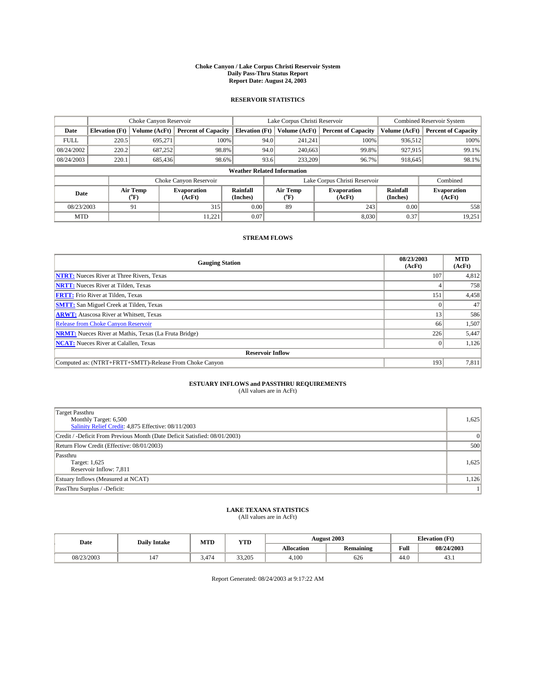#### **Choke Canyon / Lake Corpus Christi Reservoir System Daily Pass-Thru Status Report Report Date: August 24, 2003**

### **RESERVOIR STATISTICS**

|                                    | Choke Canyon Reservoir |                             |                              |                             | Lake Corpus Christi Reservoir |                  |                               |                      | <b>Combined Reservoir System</b> |  |
|------------------------------------|------------------------|-----------------------------|------------------------------|-----------------------------|-------------------------------|------------------|-------------------------------|----------------------|----------------------------------|--|
| Date                               | <b>Elevation</b> (Ft)  | Volume (AcFt)               | <b>Percent of Capacity</b>   | <b>Elevation</b> (Ft)       |                               | Volume (AcFt)    | <b>Percent of Capacity</b>    | Volume (AcFt)        | <b>Percent of Capacity</b>       |  |
| <b>FULL</b>                        | 220.5                  | 695,271                     |                              | 100%                        | 94.0                          | 241,241          | 100%                          | 936.512              | 100%                             |  |
| 08/24/2002                         | 220.2                  | 687,252                     | 98.8%                        |                             | 94.0                          | 240,663          | 99.8%                         | 927,915              | 99.1%                            |  |
| 08/24/2003                         | 220.1                  | 685,436                     | 98.6%                        |                             | 93.6                          | 233,209          | 96.7%                         | 918,645              | 98.1%                            |  |
| <b>Weather Related Information</b> |                        |                             |                              |                             |                               |                  |                               |                      |                                  |  |
|                                    |                        |                             | Choke Canyon Reservoir       |                             |                               |                  | Lake Corpus Christi Reservoir |                      | Combined                         |  |
| Date                               |                        | Air Temp<br>${}^{\circ}$ F) | <b>Evaporation</b><br>(AcFt) | <b>Rainfall</b><br>(Inches) |                               | Air Temp<br>("F) | <b>Evaporation</b><br>(AcFt)  | Rainfall<br>(Inches) | <b>Evaporation</b><br>(AcFt)     |  |
| 08/23/2003                         |                        | 91                          | 315                          | 0.00                        |                               | 89               | 243                           | 0.00                 | 558                              |  |
| <b>MTD</b>                         |                        |                             | 11,221                       | 0.07                        |                               |                  | 8,030                         | 0.37                 | 19,251                           |  |

### **STREAM FLOWS**

| <b>Gauging Station</b>                                       | 08/23/2003<br>(AcFt) | <b>MTD</b><br>(AcFt) |
|--------------------------------------------------------------|----------------------|----------------------|
| <b>NTRT:</b> Nueces River at Three Rivers, Texas             | 107                  | 4,812                |
| <b>NRTT:</b> Nueces River at Tilden, Texas                   |                      | 758                  |
| <b>FRTT:</b> Frio River at Tilden, Texas                     | 151                  | 4,458                |
| <b>SMTT:</b> San Miguel Creek at Tilden, Texas               |                      | 47                   |
| <b>ARWT:</b> Atascosa River at Whitsett, Texas               | 13                   | 586                  |
| <b>Release from Choke Canyon Reservoir</b>                   | 66                   | 1,507                |
| <b>NRMT:</b> Nueces River at Mathis, Texas (La Fruta Bridge) | 226                  | 5,447                |
| <b>NCAT:</b> Nueces River at Calallen, Texas                 |                      | 1,126                |
| <b>Reservoir Inflow</b>                                      |                      |                      |
| Computed as: (NTRT+FRTT+SMTT)-Release From Choke Canyon      | 193                  | 7,811                |

## **ESTUARY INFLOWS and PASSTHRU REQUIREMENTS**<br>(All values are in AcFt)

| Target Passthru<br>Monthly Target: 6,500<br>Salinity Relief Credit: 4,875 Effective: 08/11/2003 | 1,625 |
|-------------------------------------------------------------------------------------------------|-------|
| Credit / -Deficit From Previous Month (Date Deficit Satisfied: 08/01/2003)                      |       |
| Return Flow Credit (Effective: 08/01/2003)                                                      | 500   |
| Passthru<br>Target: 1,625<br>Reservoir Inflow: 7,811                                            | 1,625 |
| Estuary Inflows (Measured at NCAT)                                                              | 1,126 |
| PassThru Surplus / -Deficit:                                                                    | 11    |

# **LAKE TEXANA STATISTICS** (All values are in AcFt)

| Date       | <b>Daily Intake</b>            | MTD   | <b>YTD</b> |                   | <b>August 2003</b> | <b>Elevation</b> (Ft) |            |
|------------|--------------------------------|-------|------------|-------------------|--------------------|-----------------------|------------|
|            |                                |       |            | <b>Allocation</b> | Remaining          | Full                  | 08/24/2003 |
| 08/23/2003 | $\overline{\phantom{a}}$<br>14 | 474.د | 33.205     | 4,100             | 626                | $\sim$<br>44.U        | 43.1       |

Report Generated: 08/24/2003 at 9:17:22 AM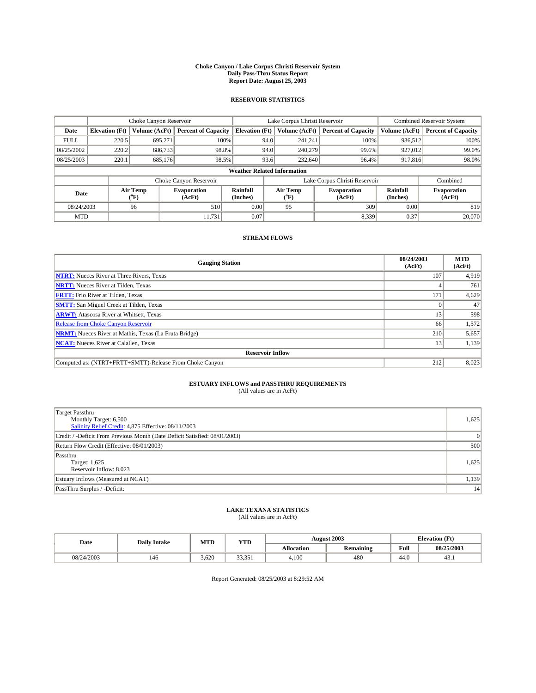#### **Choke Canyon / Lake Corpus Christi Reservoir System Daily Pass-Thru Status Report Report Date: August 25, 2003**

### **RESERVOIR STATISTICS**

|                                    | Choke Canyon Reservoir |                  | Lake Corpus Christi Reservoir |                             |      |                  | <b>Combined Reservoir System</b> |                      |                              |
|------------------------------------|------------------------|------------------|-------------------------------|-----------------------------|------|------------------|----------------------------------|----------------------|------------------------------|
| Date                               | <b>Elevation</b> (Ft)  | Volume (AcFt)    | <b>Percent of Capacity</b>    | <b>Elevation</b> (Ft)       |      | Volume (AcFt)    | <b>Percent of Capacity</b>       | Volume (AcFt)        | <b>Percent of Capacity</b>   |
| <b>FULL</b>                        | 220.5                  | 695,271          |                               | 100%                        | 94.0 | 241,241          | 100%                             | 936.512              | 100%                         |
| 08/25/2002                         | 220.2                  | 686,733          |                               | 98.8%                       | 94.0 | 240,279          | 99.6%                            | 927.012              | 99.0%                        |
| 08/25/2003                         | 220.1                  | 685,176          |                               | 98.5%                       | 93.6 | 232,640          | 96.4%                            | 917,816              | 98.0%                        |
| <b>Weather Related Information</b> |                        |                  |                               |                             |      |                  |                                  |                      |                              |
|                                    |                        |                  | Choke Canyon Reservoir        |                             |      |                  | Lake Corpus Christi Reservoir    |                      | Combined                     |
| Date                               |                        | Air Temp<br>(°F) | <b>Evaporation</b><br>(AcFt)  | <b>Rainfall</b><br>(Inches) |      | Air Temp<br>("F) | <b>Evaporation</b><br>(AcFt)     | Rainfall<br>(Inches) | <b>Evaporation</b><br>(AcFt) |
| 08/24/2003                         |                        | 96               | 510                           | 0.00                        |      | 95               | 309                              | 0.00                 | 819                          |
| <b>MTD</b>                         |                        |                  | 11,731                        | 0.07                        |      |                  | 8,339                            | 0.37                 | 20,070                       |

### **STREAM FLOWS**

| <b>Gauging Station</b>                                       | 08/24/2003<br>(AcFt) | <b>MTD</b><br>(AcFt) |
|--------------------------------------------------------------|----------------------|----------------------|
| <b>NTRT:</b> Nueces River at Three Rivers, Texas             | 107                  | 4,919                |
| <b>NRTT:</b> Nueces River at Tilden, Texas                   |                      | 761                  |
| <b>FRTT:</b> Frio River at Tilden, Texas                     | 171                  | 4,629                |
| <b>SMTT:</b> San Miguel Creek at Tilden, Texas               |                      | 47                   |
| <b>ARWT:</b> Atascosa River at Whitsett, Texas               | 13                   | 598                  |
| Release from Choke Canyon Reservoir                          | 66                   | 1,572                |
| <b>NRMT:</b> Nueces River at Mathis, Texas (La Fruta Bridge) | 210                  | 5,657                |
| <b>NCAT:</b> Nueces River at Calallen, Texas                 | 13                   | 1,139                |
| <b>Reservoir Inflow</b>                                      |                      |                      |
| Computed as: (NTRT+FRTT+SMTT)-Release From Choke Canyon      | 212                  | 8,023                |

## **ESTUARY INFLOWS and PASSTHRU REQUIREMENTS**<br>(All values are in AcFt)

| Target Passthru<br>Monthly Target: 6,500<br>Salinity Relief Credit: 4,875 Effective: 08/11/2003 | 1,625 |
|-------------------------------------------------------------------------------------------------|-------|
| Credit / -Deficit From Previous Month (Date Deficit Satisfied: 08/01/2003)                      |       |
| Return Flow Credit (Effective: 08/01/2003)                                                      | 500   |
| Passthru<br>Target: 1,625<br>Reservoir Inflow: 8,023                                            | 1,625 |
| Estuary Inflows (Measured at NCAT)                                                              | 1,139 |
| PassThru Surplus / -Deficit:                                                                    | 14    |

# **LAKE TEXANA STATISTICS** (All values are in AcFt)

| Date       | <b>Daily Intake</b> | MTD   | <b>YTD</b> |                   | <b>August 2003</b> | <b>Elevation</b> (Ft) |            |
|------------|---------------------|-------|------------|-------------------|--------------------|-----------------------|------------|
|            |                     |       |            | <b>Allocation</b> | Remaining          | Full                  | 08/25/2003 |
| 08/24/2003 | 146                 | 3.620 | 22.25      | 4,100             | 480                | $\sim$<br>44.U        | 43.1       |

Report Generated: 08/25/2003 at 8:29:52 AM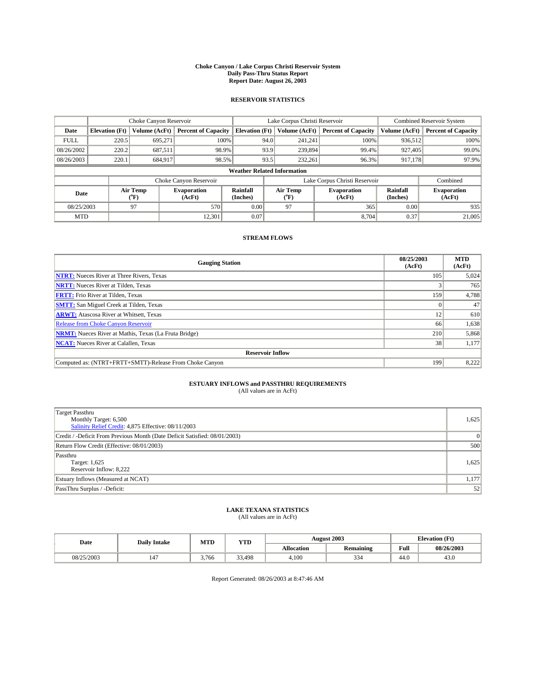#### **Choke Canyon / Lake Corpus Christi Reservoir System Daily Pass-Thru Status Report Report Date: August 26, 2003**

### **RESERVOIR STATISTICS**

|                                    | Choke Canyon Reservoir |                  |                              |                             | Lake Corpus Christi Reservoir |                  |                               |                             | <b>Combined Reservoir System</b> |  |  |
|------------------------------------|------------------------|------------------|------------------------------|-----------------------------|-------------------------------|------------------|-------------------------------|-----------------------------|----------------------------------|--|--|
| Date                               | <b>Elevation</b> (Ft)  | Volume (AcFt)    | <b>Percent of Capacity</b>   | <b>Elevation</b> (Ft)       |                               | Volume (AcFt)    | <b>Percent of Capacity</b>    | Volume (AcFt)               | <b>Percent of Capacity</b>       |  |  |
| <b>FULL</b>                        | 220.5                  | 695,271          |                              | 100%                        | 94.0                          | 241,241          | 100%                          | 936.512                     | 100%                             |  |  |
| 08/26/2002                         | 220.2                  | 687.511          | 98.9%                        |                             | 93.9                          | 239,894          | 99.4%                         | 927.405                     | 99.0%                            |  |  |
| 08/26/2003                         | 220.1                  | 684,917          | 98.5%                        |                             | 93.5                          | 232,261          | 96.3%                         | 917,178                     | 97.9%                            |  |  |
| <b>Weather Related Information</b> |                        |                  |                              |                             |                               |                  |                               |                             |                                  |  |  |
|                                    |                        |                  | Choke Canyon Reservoir       |                             |                               |                  | Lake Corpus Christi Reservoir |                             | Combined                         |  |  |
| Date                               |                        | Air Temp<br>(°F) | <b>Evaporation</b><br>(AcFt) | <b>Rainfall</b><br>(Inches) |                               | Air Temp<br>("F) | <b>Evaporation</b><br>(AcFt)  | <b>Rainfall</b><br>(Inches) | <b>Evaporation</b><br>(AcFt)     |  |  |
| 08/25/2003                         |                        | 97               | 570                          | 0.00                        |                               | 97               | 365                           | 0.00                        | 935                              |  |  |
| <b>MTD</b>                         |                        |                  | 12,301                       | 0.07                        |                               |                  | 8.704                         | 0.37                        | 21,005                           |  |  |

### **STREAM FLOWS**

| <b>Gauging Station</b>                                       | 08/25/2003<br>(AcFt) | <b>MTD</b><br>(AcFt) |
|--------------------------------------------------------------|----------------------|----------------------|
| <b>NTRT:</b> Nueces River at Three Rivers, Texas             | 105                  | 5,024                |
| <b>NRTT:</b> Nueces River at Tilden, Texas                   |                      | 765                  |
| <b>FRTT:</b> Frio River at Tilden, Texas                     | 159                  | 4,788                |
| <b>SMTT:</b> San Miguel Creek at Tilden, Texas               |                      | 47                   |
| <b>ARWT:</b> Atascosa River at Whitsett, Texas               | 12                   | 610                  |
| <b>Release from Choke Canyon Reservoir</b>                   | 66                   | 1,638                |
| <b>NRMT:</b> Nueces River at Mathis, Texas (La Fruta Bridge) | 210                  | 5,868                |
| <b>NCAT:</b> Nueces River at Calallen, Texas                 | 38                   | 1,177                |
| <b>Reservoir Inflow</b>                                      |                      |                      |
| Computed as: (NTRT+FRTT+SMTT)-Release From Choke Canyon      | 199                  | 8,222                |

## **ESTUARY INFLOWS and PASSTHRU REQUIREMENTS**<br>(All values are in AcFt)

| Target Passthru<br>Monthly Target: 6,500<br>Salinity Relief Credit: 4,875 Effective: 08/11/2003 | 1,625 |
|-------------------------------------------------------------------------------------------------|-------|
| Credit / -Deficit From Previous Month (Date Deficit Satisfied: 08/01/2003)                      |       |
| Return Flow Credit (Effective: 08/01/2003)                                                      | 500   |
| Passthru<br>Target: 1,625<br>Reservoir Inflow: 8.222                                            | 1,625 |
| Estuary Inflows (Measured at NCAT)                                                              | 1,177 |
| PassThru Surplus / -Deficit:                                                                    | 52    |

# **LAKE TEXANA STATISTICS** (All values are in AcFt)

| Date       | <b>Daily Intake</b> | MTD   | <b>YTD</b>       |                   | <b>August 2003</b> |                | <b>Elevation</b> (Ft) |
|------------|---------------------|-------|------------------|-------------------|--------------------|----------------|-----------------------|
|            |                     |       |                  | <b>Allocation</b> | <b>Remaining</b>   | Full           | 08/26/2003            |
| 08/25/2003 | 147                 | 3,766 | $\sim$<br>33.498 | 4,100             | $\sim$<br>334      | $\sim$<br>44.0 | 43.0                  |

Report Generated: 08/26/2003 at 8:47:46 AM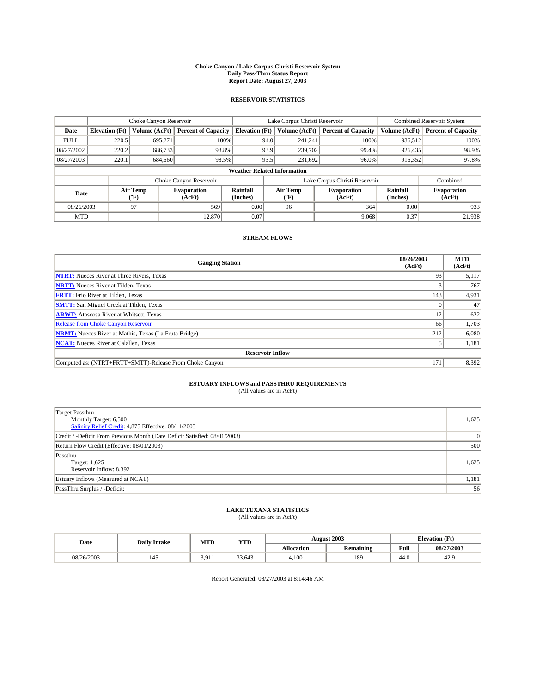#### **Choke Canyon / Lake Corpus Christi Reservoir System Daily Pass-Thru Status Report Report Date: August 27, 2003**

### **RESERVOIR STATISTICS**

|                                    | Choke Canyon Reservoir |                  |                              | Lake Corpus Christi Reservoir | <b>Combined Reservoir System</b> |                  |                               |                             |                              |
|------------------------------------|------------------------|------------------|------------------------------|-------------------------------|----------------------------------|------------------|-------------------------------|-----------------------------|------------------------------|
| Date                               | <b>Elevation</b> (Ft)  | Volume (AcFt)    | <b>Percent of Capacity</b>   | <b>Elevation</b> (Ft)         |                                  | Volume (AcFt)    | <b>Percent of Capacity</b>    | Volume (AcFt)               | <b>Percent of Capacity</b>   |
| <b>FULL</b>                        | 220.5                  | 695,271          |                              | 100%                          | 94.0                             | 241,241          | 100%                          | 936.512                     | 100%                         |
| 08/27/2002                         | 220.2                  | 686,733          | 98.8%                        |                               | 93.9                             | 239,702          | 99.4%                         | 926,435                     | 98.9%                        |
| 08/27/2003                         | 220.1                  | 684,660          | 98.5%                        |                               | 93.5                             | 231,692          | $96.0\%$                      | 916,352                     | 97.8%                        |
| <b>Weather Related Information</b> |                        |                  |                              |                               |                                  |                  |                               |                             |                              |
|                                    |                        |                  | Choke Canyon Reservoir       |                               |                                  |                  | Lake Corpus Christi Reservoir |                             | Combined                     |
| Date                               |                        | Air Temp<br>(°F) | <b>Evaporation</b><br>(AcFt) | <b>Rainfall</b><br>(Inches)   |                                  | Air Temp<br>("F) | <b>Evaporation</b><br>(AcFt)  | <b>Rainfall</b><br>(Inches) | <b>Evaporation</b><br>(AcFt) |
| 08/26/2003                         |                        | 97               | 569                          | 0.00                          |                                  | 96               | 364                           | 0.00                        | 933                          |
| <b>MTD</b>                         |                        |                  | 12,870                       | 0.07                          |                                  |                  | 9,068                         | 0.37                        | 21,938                       |

### **STREAM FLOWS**

| <b>Gauging Station</b>                                       | 08/26/2003<br>(AcFt) | <b>MTD</b><br>(AcFt) |
|--------------------------------------------------------------|----------------------|----------------------|
| <b>NTRT:</b> Nueces River at Three Rivers, Texas             | 93                   | 5,117                |
| <b>NRTT:</b> Nueces River at Tilden, Texas                   |                      | 767                  |
| <b>FRTT:</b> Frio River at Tilden, Texas                     | 143                  | 4,931                |
| <b>SMTT:</b> San Miguel Creek at Tilden, Texas               |                      | 47                   |
| <b>ARWT:</b> Atascosa River at Whitsett, Texas               | 12                   | 622                  |
| Release from Choke Canyon Reservoir                          | 66                   | 1,703                |
| <b>NRMT:</b> Nueces River at Mathis, Texas (La Fruta Bridge) | 212                  | 6,080                |
| <b>NCAT:</b> Nueces River at Calallen, Texas                 |                      | 1,181                |
| <b>Reservoir Inflow</b>                                      |                      |                      |
| Computed as: (NTRT+FRTT+SMTT)-Release From Choke Canyon      | 171                  | 8,392                |

## **ESTUARY INFLOWS and PASSTHRU REQUIREMENTS**<br>(All values are in AcFt)

| Target Passthru<br>Monthly Target: 6,500<br>Salinity Relief Credit: 4,875 Effective: 08/11/2003 | 1,625 |
|-------------------------------------------------------------------------------------------------|-------|
| Credit / -Deficit From Previous Month (Date Deficit Satisfied: 08/01/2003)                      |       |
| Return Flow Credit (Effective: 08/01/2003)                                                      | 500   |
| Passthru<br>Target: 1,625<br>Reservoir Inflow: 8,392                                            | 1,625 |
| Estuary Inflows (Measured at NCAT)                                                              | 1,181 |
| PassThru Surplus / -Deficit:                                                                    | 56    |

# **LAKE TEXANA STATISTICS** (All values are in AcFt)

| Date       | <b>Daily Intake</b> | MTD   | YTD    |                   | <b>August 2003</b>           | <b>Elevation</b> (Ft) |            |
|------------|---------------------|-------|--------|-------------------|------------------------------|-----------------------|------------|
|            |                     |       |        | <b>Allocation</b> | $\cdots$<br><b>Remaining</b> | Full                  | 08/27/2003 |
| 08/26/2003 | 145                 | 3.911 | 33.643 | 4,100             | 189                          | $\sim$<br>44.U        | 42.9       |

Report Generated: 08/27/2003 at 8:14:46 AM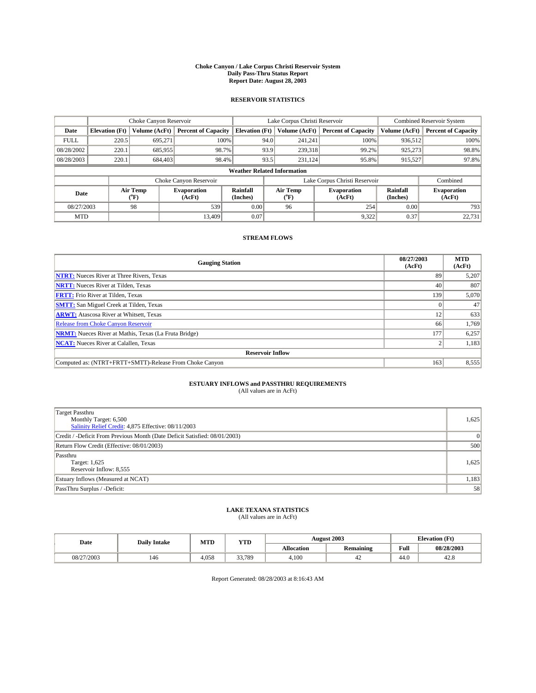#### **Choke Canyon / Lake Corpus Christi Reservoir System Daily Pass-Thru Status Report Report Date: August 28, 2003**

### **RESERVOIR STATISTICS**

|                                    | Choke Canyon Reservoir |                             |                              |                             | Lake Corpus Christi Reservoir |                  |                               |                             | <b>Combined Reservoir System</b> |  |
|------------------------------------|------------------------|-----------------------------|------------------------------|-----------------------------|-------------------------------|------------------|-------------------------------|-----------------------------|----------------------------------|--|
| Date                               | <b>Elevation</b> (Ft)  | Volume (AcFt)               | <b>Percent of Capacity</b>   | <b>Elevation</b> (Ft)       |                               | Volume (AcFt)    | <b>Percent of Capacity</b>    | Volume (AcFt)               | <b>Percent of Capacity</b>       |  |
| <b>FULL</b>                        | 220.5                  | 695,271                     |                              | 100%                        | 94.0                          | 241,241          | 100%                          | 936.512                     | 100%                             |  |
| 08/28/2002                         | 220.1                  | 685,955                     |                              | 98.7%                       | 93.9                          | 239,318          | 99.2%                         | 925.273                     | 98.8%                            |  |
| 08/28/2003                         | 220.1                  | 684,403                     | 98.4%                        |                             | 93.5                          | 231,124          | 95.8%                         | 915,527                     | 97.8%                            |  |
| <b>Weather Related Information</b> |                        |                             |                              |                             |                               |                  |                               |                             |                                  |  |
|                                    |                        |                             | Choke Canyon Reservoir       |                             |                               |                  | Lake Corpus Christi Reservoir |                             | Combined                         |  |
| Date                               |                        | Air Temp<br>${}^{\circ}$ F) | <b>Evaporation</b><br>(AcFt) | <b>Rainfall</b><br>(Inches) |                               | Air Temp<br>("F) | <b>Evaporation</b><br>(AcFt)  | <b>Rainfall</b><br>(Inches) | <b>Evaporation</b><br>(AcFt)     |  |
| 08/27/2003                         |                        | 98                          | 539                          | 0.00                        |                               | 96               | 254                           | 0.00                        | 793                              |  |
| <b>MTD</b>                         |                        |                             | 13.409                       | 0.07                        |                               |                  | 9,322                         | 0.37                        | 22,731                           |  |

### **STREAM FLOWS**

| <b>Gauging Station</b>                                       | 08/27/2003<br>(AcFt) | <b>MTD</b><br>(AcFt) |  |  |  |  |
|--------------------------------------------------------------|----------------------|----------------------|--|--|--|--|
| <b>NTRT:</b> Nueces River at Three Rivers, Texas             | 89                   | 5,207                |  |  |  |  |
| <b>NRTT:</b> Nueces River at Tilden, Texas                   | 40                   | 807                  |  |  |  |  |
| <b>FRTT:</b> Frio River at Tilden, Texas                     | 139                  | 5,070                |  |  |  |  |
| <b>SMTT:</b> San Miguel Creek at Tilden, Texas               |                      | 47                   |  |  |  |  |
| <b>ARWT:</b> Atascosa River at Whitsett, Texas               | 12                   | 633                  |  |  |  |  |
| Release from Choke Canyon Reservoir                          | 66                   | 1,769                |  |  |  |  |
| <b>NRMT:</b> Nueces River at Mathis, Texas (La Fruta Bridge) | 177                  | 6,257                |  |  |  |  |
| <b>NCAT:</b> Nueces River at Calallen, Texas                 |                      | 1,183                |  |  |  |  |
| <b>Reservoir Inflow</b>                                      |                      |                      |  |  |  |  |
| Computed as: (NTRT+FRTT+SMTT)-Release From Choke Canyon      | 163                  | 8,555                |  |  |  |  |

## **ESTUARY INFLOWS and PASSTHRU REQUIREMENTS**<br>(All values are in AcFt)

| <b>Target Passthru</b>                                                     |       |
|----------------------------------------------------------------------------|-------|
| Monthly Target: 6,500                                                      | 1,625 |
| Salinity Relief Credit: 4,875 Effective: 08/11/2003                        |       |
| Credit / -Deficit From Previous Month (Date Deficit Satisfied: 08/01/2003) |       |
| Return Flow Credit (Effective: 08/01/2003)                                 | 500   |
| Passthru                                                                   |       |
| Target: 1,625                                                              | 1,625 |
| Reservoir Inflow: 8,555                                                    |       |
| Estuary Inflows (Measured at NCAT)                                         | 1,183 |
| PassThru Surplus / -Deficit:                                               | 58    |

# **LAKE TEXANA STATISTICS** (All values are in AcFt)

| Date       | <b>Daily Intake</b> | MTD   | <b>YTD</b> |                   | <b>August 2003</b>    |                | <b>Elevation</b> (Ft) |  |
|------------|---------------------|-------|------------|-------------------|-----------------------|----------------|-----------------------|--|
|            |                     |       |            | <b>Allocation</b> | .<br><b>Remaining</b> | Full           | 08/28/2003            |  |
| 08/27/2003 | 146                 | 4.058 | 33.789     | 4,100             | т∠                    | $\sim$<br>44.V | 42.6                  |  |

Report Generated: 08/28/2003 at 8:16:43 AM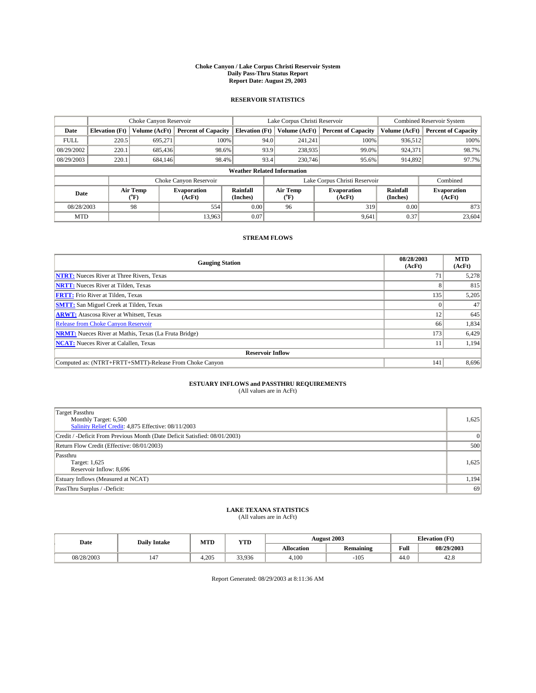#### **Choke Canyon / Lake Corpus Christi Reservoir System Daily Pass-Thru Status Report Report Date: August 29, 2003**

### **RESERVOIR STATISTICS**

|                                    | Choke Canyon Reservoir |                  |                              |                       | Lake Corpus Christi Reservoir |                  |                               |                      | <b>Combined Reservoir System</b> |  |  |
|------------------------------------|------------------------|------------------|------------------------------|-----------------------|-------------------------------|------------------|-------------------------------|----------------------|----------------------------------|--|--|
| Date                               | <b>Elevation</b> (Ft)  | Volume (AcFt)    | <b>Percent of Capacity</b>   | <b>Elevation (Ft)</b> |                               | Volume (AcFt)    | <b>Percent of Capacity</b>    | Volume (AcFt)        | <b>Percent of Capacity</b>       |  |  |
| <b>FULL</b>                        | 220.5                  | 695,271          |                              | 100%                  | 94.0                          | 241,241          | 100%                          | 936.512              | 100%                             |  |  |
| 08/29/2002                         | 220.1                  | 685.436          | 98.6%                        |                       | 93.9                          | 238,935          | 99.0%                         | 924,371              | 98.7%                            |  |  |
| 08/29/2003                         | 220.1                  | 684,146          | 98.4%                        |                       | 93.4                          | 230,746          | 95.6%                         | 914,892              | 97.7%                            |  |  |
| <b>Weather Related Information</b> |                        |                  |                              |                       |                               |                  |                               |                      |                                  |  |  |
|                                    |                        |                  | Choke Canyon Reservoir       |                       |                               |                  | Lake Corpus Christi Reservoir |                      | Combined                         |  |  |
| Date                               |                        | Air Temp<br>(°F) | <b>Evaporation</b><br>(AcFt) | Rainfall<br>(Inches)  |                               | Air Temp<br>("F) | <b>Evaporation</b><br>(AcFt)  | Rainfall<br>(Inches) | <b>Evaporation</b><br>(AcFt)     |  |  |
| 08/28/2003                         |                        | 98               | 554                          | 0.00                  |                               | 96               | 319                           | 0.00                 | 873                              |  |  |
| <b>MTD</b>                         |                        |                  | 13,963                       | 0.07                  |                               |                  | 9,641                         | 0.37                 | 23,604                           |  |  |

### **STREAM FLOWS**

| <b>Gauging Station</b>                                       | 08/28/2003<br>(AcFt) | <b>MTD</b><br>(AcFt) |  |  |  |  |
|--------------------------------------------------------------|----------------------|----------------------|--|--|--|--|
| <b>NTRT:</b> Nueces River at Three Rivers, Texas             |                      | 5,278                |  |  |  |  |
| <b>NRTT:</b> Nueces River at Tilden, Texas                   |                      | 815                  |  |  |  |  |
| <b>FRTT:</b> Frio River at Tilden, Texas                     | 135                  | 5,205                |  |  |  |  |
| <b>SMTT:</b> San Miguel Creek at Tilden, Texas               |                      | 47                   |  |  |  |  |
| <b>ARWT:</b> Atascosa River at Whitsett, Texas               | 12                   | 645                  |  |  |  |  |
| <b>Release from Choke Canyon Reservoir</b>                   | 66                   | 1,834                |  |  |  |  |
| <b>NRMT:</b> Nueces River at Mathis, Texas (La Fruta Bridge) | 173                  | 6,429                |  |  |  |  |
| <b>NCAT:</b> Nueces River at Calallen, Texas                 |                      | 1,194                |  |  |  |  |
| <b>Reservoir Inflow</b>                                      |                      |                      |  |  |  |  |
| Computed as: (NTRT+FRTT+SMTT)-Release From Choke Canyon      | 141                  | 8,696                |  |  |  |  |

## **ESTUARY INFLOWS and PASSTHRU REQUIREMENTS**<br>(All values are in AcFt)

| Target Passthru<br>Monthly Target: 6,500<br>Salinity Relief Credit: 4,875 Effective: 08/11/2003 | 1,625 |
|-------------------------------------------------------------------------------------------------|-------|
| Credit / -Deficit From Previous Month (Date Deficit Satisfied: 08/01/2003)                      |       |
| Return Flow Credit (Effective: 08/01/2003)                                                      | 500   |
| Passthru<br>Target: 1,625<br>Reservoir Inflow: 8,696                                            | 1,625 |
| Estuary Inflows (Measured at NCAT)                                                              | 1,194 |
| PassThru Surplus / -Deficit:                                                                    | 69    |

# **LAKE TEXANA STATISTICS** (All values are in AcFt)

| Date       | <b>Daily Intake</b>  | MTD    | <b>YTD</b> |                   | <b>August 2003</b> | <b>Elevation</b> (Ft) |            |
|------------|----------------------|--------|------------|-------------------|--------------------|-----------------------|------------|
|            |                      |        |            | <b>Allocation</b> | <b>Remaining</b>   | Full                  | 08/29/2003 |
| 08/28/2003 | $\overline{1}$<br>14 | $+205$ | 33,936     | 4,100             | $-105$             | $\sim$<br>44.U        | 44.0       |

Report Generated: 08/29/2003 at 8:11:36 AM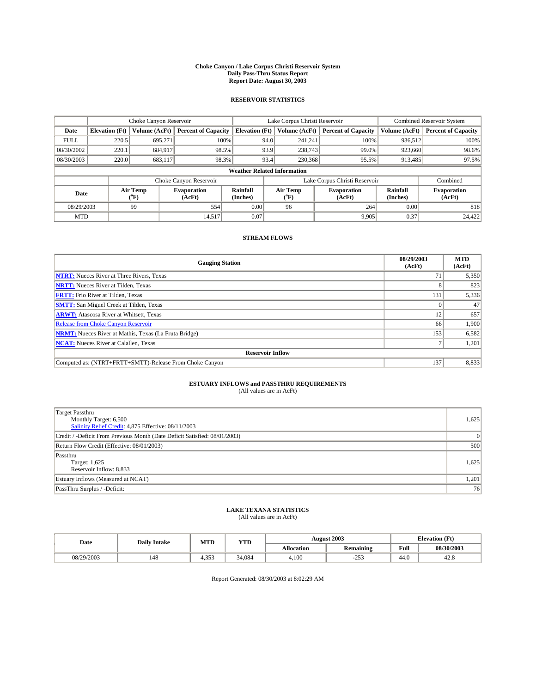#### **Choke Canyon / Lake Corpus Christi Reservoir System Daily Pass-Thru Status Report Report Date: August 30, 2003**

### **RESERVOIR STATISTICS**

|             | Choke Canyon Reservoir             |                  |                              |                       | Lake Corpus Christi Reservoir |                  |                               |                      | <b>Combined Reservoir System</b> |  |  |
|-------------|------------------------------------|------------------|------------------------------|-----------------------|-------------------------------|------------------|-------------------------------|----------------------|----------------------------------|--|--|
| Date        | <b>Elevation</b> (Ft)              | Volume (AcFt)    | <b>Percent of Capacity</b>   | <b>Elevation (Ft)</b> |                               | Volume (AcFt)    | <b>Percent of Capacity</b>    | Volume (AcFt)        | <b>Percent of Capacity</b>       |  |  |
| <b>FULL</b> | 220.5                              | 695,271          |                              | 100%                  | 94.0                          | 241,241          | 100%                          | 936.512              | 100%                             |  |  |
| 08/30/2002  | 220.1                              | 684,917          | 98.5%                        |                       | 93.9                          | 238,743          | 99.0%                         | 923,660              | 98.6%                            |  |  |
| 08/30/2003  | 220.0                              | 683.117          | 98.3%                        |                       | 93.4                          | 230,368          | 95.5%                         | 913,485              | 97.5%                            |  |  |
|             | <b>Weather Related Information</b> |                  |                              |                       |                               |                  |                               |                      |                                  |  |  |
|             |                                    |                  | Choke Canyon Reservoir       |                       |                               |                  | Lake Corpus Christi Reservoir |                      | Combined                         |  |  |
| Date        |                                    | Air Temp<br>(°F) | <b>Evaporation</b><br>(AcFt) | Rainfall<br>(Inches)  |                               | Air Temp<br>("F) | <b>Evaporation</b><br>(AcFt)  | Rainfall<br>(Inches) | <b>Evaporation</b><br>(AcFt)     |  |  |
| 08/29/2003  |                                    | 99               | 554                          | 0.00                  |                               | 96               | 264                           | 0.00                 | 818                              |  |  |
| <b>MTD</b>  |                                    |                  | 14,517                       | 0.07                  |                               |                  | 9,905                         | 0.37                 | 24,422                           |  |  |

### **STREAM FLOWS**

| <b>Gauging Station</b>                                       | 08/29/2003<br>(AcFt) | <b>MTD</b><br>(AcFt) |  |  |  |  |
|--------------------------------------------------------------|----------------------|----------------------|--|--|--|--|
| <b>NTRT:</b> Nueces River at Three Rivers, Texas             |                      | 5,350                |  |  |  |  |
| <b>NRTT:</b> Nueces River at Tilden, Texas                   |                      | 823                  |  |  |  |  |
| <b>FRTT:</b> Frio River at Tilden, Texas                     | 131                  | 5,336                |  |  |  |  |
| <b>SMTT:</b> San Miguel Creek at Tilden, Texas               |                      | 47                   |  |  |  |  |
| <b>ARWT:</b> Atascosa River at Whitsett, Texas               | 12                   | 657                  |  |  |  |  |
| Release from Choke Canyon Reservoir                          | 66                   | 1.900                |  |  |  |  |
| <b>NRMT:</b> Nueces River at Mathis, Texas (La Fruta Bridge) | 153                  | 6,582                |  |  |  |  |
| <b>NCAT:</b> Nueces River at Calallen, Texas                 |                      | 1,201                |  |  |  |  |
| <b>Reservoir Inflow</b>                                      |                      |                      |  |  |  |  |
| Computed as: (NTRT+FRTT+SMTT)-Release From Choke Canyon      | 137                  | 8,833                |  |  |  |  |

## **ESTUARY INFLOWS and PASSTHRU REQUIREMENTS**<br>(All values are in AcFt)

| <b>Target Passthru</b><br>Monthly Target: 6,500<br>Salinity Relief Credit: 4,875 Effective: 08/11/2003 | 1,625 |
|--------------------------------------------------------------------------------------------------------|-------|
| Credit / -Deficit From Previous Month (Date Deficit Satisfied: 08/01/2003)                             |       |
| Return Flow Credit (Effective: 08/01/2003)                                                             | 500   |
| Passthru<br>Target: 1,625<br>Reservoir Inflow: 8,833                                                   | 1,625 |
| Estuary Inflows (Measured at NCAT)                                                                     | 1,201 |
| PassThru Surplus / -Deficit:                                                                           | 76    |

# **LAKE TEXANA STATISTICS** (All values are in AcFt)

| Date       | <b>Daily Intake</b> | MTD   | <b>YTD</b> |                   | <b>August 2003</b> | <b>Elevation</b> (Ft) |            |
|------------|---------------------|-------|------------|-------------------|--------------------|-----------------------|------------|
|            |                     |       |            | <b>Allocation</b> | <b>Remaining</b>   | Full                  | 08/30/2003 |
| 08/29/2003 | 148                 | 4.353 | 34.084     | 4,100             | 252<br>. پ         | $\sim$<br>44.V        | 44.0       |

Report Generated: 08/30/2003 at 8:02:29 AM